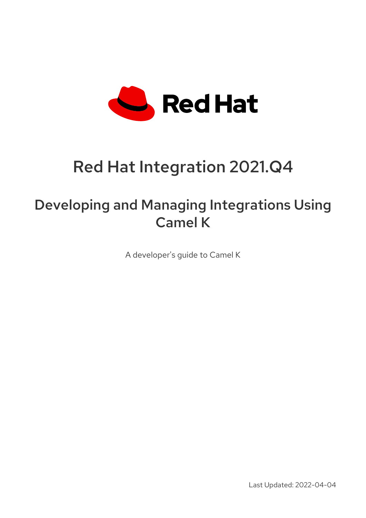

# Red Hat Integration 2021.Q4

# Developing and Managing Integrations Using Camel K

A developer's guide to Camel K

Last Updated: 2022-04-04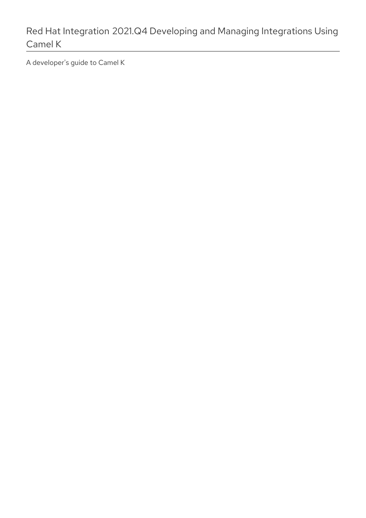# Red Hat Integration 2021.Q4 Developing and Managing Integrations Using Camel K

A developer's guide to Camel K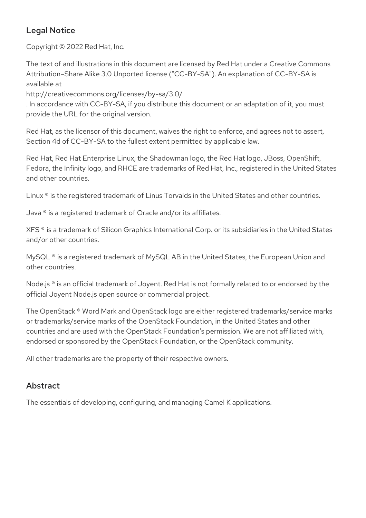# Legal Notice

Copyright © 2022 Red Hat, Inc.

The text of and illustrations in this document are licensed by Red Hat under a Creative Commons Attribution–Share Alike 3.0 Unported license ("CC-BY-SA"). An explanation of CC-BY-SA is available at

http://creativecommons.org/licenses/by-sa/3.0/

. In accordance with CC-BY-SA, if you distribute this document or an adaptation of it, you must provide the URL for the original version.

Red Hat, as the licensor of this document, waives the right to enforce, and agrees not to assert, Section 4d of CC-BY-SA to the fullest extent permitted by applicable law.

Red Hat, Red Hat Enterprise Linux, the Shadowman logo, the Red Hat logo, JBoss, OpenShift, Fedora, the Infinity logo, and RHCE are trademarks of Red Hat, Inc., registered in the United States and other countries.

Linux ® is the registered trademark of Linus Torvalds in the United States and other countries.

Java ® is a registered trademark of Oracle and/or its affiliates.

XFS ® is a trademark of Silicon Graphics International Corp. or its subsidiaries in the United States and/or other countries.

MySQL<sup>®</sup> is a registered trademark of MySQL AB in the United States, the European Union and other countries.

Node.js ® is an official trademark of Joyent. Red Hat is not formally related to or endorsed by the official Joyent Node.js open source or commercial project.

The OpenStack ® Word Mark and OpenStack logo are either registered trademarks/service marks or trademarks/service marks of the OpenStack Foundation, in the United States and other countries and are used with the OpenStack Foundation's permission. We are not affiliated with, endorsed or sponsored by the OpenStack Foundation, or the OpenStack community.

All other trademarks are the property of their respective owners.

### Abstract

The essentials of developing, configuring, and managing Camel K applications.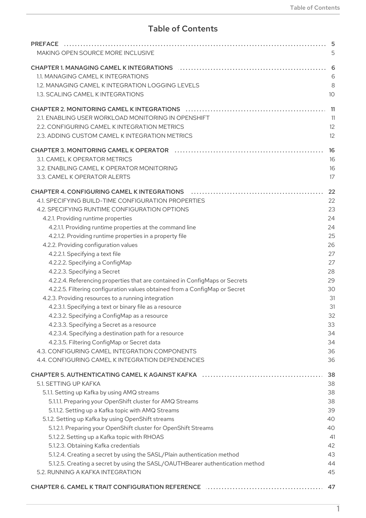# Table of Contents

| MAKING OPEN SOURCE MORE INCLUSIVE                                                                                                                                                                                              |                   |
|--------------------------------------------------------------------------------------------------------------------------------------------------------------------------------------------------------------------------------|-------------------|
|                                                                                                                                                                                                                                |                   |
|                                                                                                                                                                                                                                |                   |
| 1.1. MANAGING CAMEL K INTEGRATIONS                                                                                                                                                                                             |                   |
| 1.2. MANAGING CAMEL K INTEGRATION LOGGING LEVELS                                                                                                                                                                               |                   |
| 1.3. SCALING CAMEL K INTEGRATIONS                                                                                                                                                                                              |                   |
|                                                                                                                                                                                                                                |                   |
| 2.1. ENABLING USER WORKLOAD MONITORING IN OPENSHIFT                                                                                                                                                                            |                   |
| 2.2. CONFIGURING CAMEL K INTEGRATION METRICS                                                                                                                                                                                   |                   |
| 2.3. ADDING CUSTOM CAMEL K INTEGRATION METRICS                                                                                                                                                                                 | $12 \overline{ }$ |
|                                                                                                                                                                                                                                |                   |
|                                                                                                                                                                                                                                |                   |
| 3.1. CAMEL K OPERATOR METRICS                                                                                                                                                                                                  | 16                |
| 3.2. ENABLING CAMEL K OPERATOR MONITORING                                                                                                                                                                                      |                   |
| 3.3. CAMEL K OPERATOR ALERTS                                                                                                                                                                                                   |                   |
| CHAPTER 4. CONFIGURING CAMEL K INTEGRATIONS (and continuum continuum candidate and continuum candidate and continuum candidate and continuum candidate and continuum candidate and continuum candidate and continuum candidate |                   |
| 4.1. SPECIFYING BUILD-TIME CONFIGURATION PROPERTIES                                                                                                                                                                            | 22                |
| 4.2. SPECIFYING RUNTIME CONFIGURATION OPTIONS                                                                                                                                                                                  | 23                |
| 4.2.1. Providing runtime properties                                                                                                                                                                                            | 24                |
| 4.2.1.1. Providing runtime properties at the command line                                                                                                                                                                      | 24                |
| 4.2.1.2. Providing runtime properties in a property file                                                                                                                                                                       | 25                |
| 4.2.2. Providing configuration values                                                                                                                                                                                          | 26                |
| 4.2.2.1. Specifying a text file                                                                                                                                                                                                | 27                |
| 4.2.2.2. Specifying a ConfigMap                                                                                                                                                                                                | 27                |
| 4.2.2.3. Specifying a Secret                                                                                                                                                                                                   | 28                |
| 4.2.2.4. Referencing properties that are contained in ConfigMaps or Secrets                                                                                                                                                    | 29                |
| 4.2.2.5. Filtering configuration values obtained from a ConfigMap or Secret                                                                                                                                                    | 30                |
| 4.2.3. Providing resources to a running integration                                                                                                                                                                            | 31                |
| 4.2.3.1. Specifying a text or binary file as a resource                                                                                                                                                                        | 31                |
|                                                                                                                                                                                                                                | つつ                |
| 4.2.3.2. Specifying a ConfigMap as a resource                                                                                                                                                                                  |                   |
| 4.2.3.3. Specifying a Secret as a resource                                                                                                                                                                                     | 33<br>34          |
| 4.2.3.4. Specifying a destination path for a resource                                                                                                                                                                          |                   |
| 4.2.3.5. Filtering ConfigMap or Secret data                                                                                                                                                                                    | 34                |
| 4.3. CONFIGURING CAMEL INTEGRATION COMPONENTS                                                                                                                                                                                  | 36                |
| 4.4. CONFIGURING CAMEL K INTEGRATION DEPENDENCIES                                                                                                                                                                              | 36                |
|                                                                                                                                                                                                                                | 38                |
| 5.1. SETTING UP KAFKA                                                                                                                                                                                                          | 38                |
| 5.1.1. Setting up Kafka by using AMQ streams                                                                                                                                                                                   | 38                |
| 5.1.1.1. Preparing your OpenShift cluster for AMQ Streams                                                                                                                                                                      | 38                |
| 5.1.1.2. Setting up a Kafka topic with AMQ Streams                                                                                                                                                                             | 39                |
| 5.1.2. Setting up Kafka by using OpenShift streams                                                                                                                                                                             | 40                |
| 5.1.2.1. Preparing your OpenShift cluster for OpenShift Streams                                                                                                                                                                | 40                |
| 5.1.2.2. Setting up a Kafka topic with RHOAS                                                                                                                                                                                   | $\Delta$ 1        |
| 5.1.2.3. Obtaining Kafka credentials                                                                                                                                                                                           | 42                |
| 5.1.2.4. Creating a secret by using the SASL/Plain authentication method                                                                                                                                                       | 43                |
| 5.1.2.5. Creating a secret by using the SASL/OAUTHBearer authentication method                                                                                                                                                 | 44                |
| 5.2. RUNNING A KAFKA INTEGRATION                                                                                                                                                                                               | 45                |
|                                                                                                                                                                                                                                |                   |
|                                                                                                                                                                                                                                | -47               |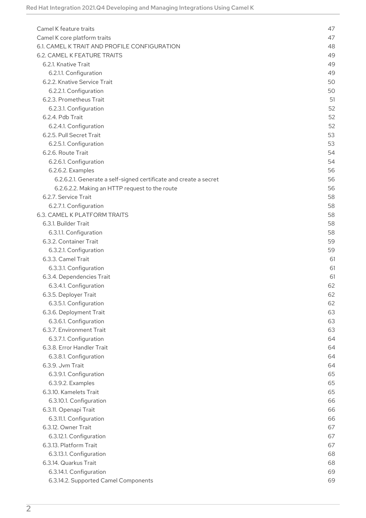| Camel K feature traits                                            | 47 |
|-------------------------------------------------------------------|----|
| Camel K core platform traits                                      | 47 |
| 6.1. CAMEL K TRAIT AND PROFILE CONFIGURATION                      | 48 |
| 6.2. CAMEL K FEATURE TRAITS                                       | 49 |
| 6.2.1. Knative Trait                                              | 49 |
| 6.2.1.1. Configuration                                            | 49 |
| 6.2.2. Knative Service Trait                                      | 50 |
| 6.2.2.1. Configuration                                            | 50 |
| 6.2.3. Prometheus Trait                                           | 51 |
| 6.2.3.1. Configuration                                            | 52 |
| 6.2.4. Pdb Trait                                                  | 52 |
| 6.2.4.1. Configuration                                            | 52 |
| 6.2.5. Pull Secret Trait                                          | 53 |
| 6.2.5.1. Configuration                                            | 53 |
| 6.2.6. Route Trait                                                | 54 |
| 6.2.6.1. Configuration                                            | 54 |
| 6.2.6.2. Examples                                                 | 56 |
| 6.2.6.2.1. Generate a self-signed certificate and create a secret | 56 |
| 6.2.6.2.2. Making an HTTP request to the route                    | 56 |
| 6.2.7. Service Trait                                              | 58 |
| 6.2.7.1. Configuration                                            | 58 |
| 6.3. CAMEL K PLATFORM TRAITS                                      | 58 |
| 6.3.1. Builder Trait                                              | 58 |
| 6.3.1.1. Configuration                                            | 58 |
| 6.3.2. Container Trait                                            | 59 |
| 6.3.2.1. Configuration                                            | 59 |
| 6.3.3. Camel Trait                                                | 61 |
| 6.3.3.1. Configuration                                            | 61 |
| 6.3.4. Dependencies Trait                                         | 61 |
| 6.3.4.1. Configuration                                            | 62 |
| 6.3.5. Deployer Trait                                             | 62 |
| 6.3.5.1. Configuration                                            | 62 |
| 6.3.6. Deployment Trait                                           | 63 |
| 6.3.6.1. Configuration                                            | 63 |
| 6.3.7. Environment Trait                                          | 63 |
| 6.3.7.1. Configuration                                            | 64 |
| 6.3.8. Error Handler Trait                                        | 64 |
| 6.3.8.1. Configuration                                            | 64 |
| 6.3.9. Jvm Trait                                                  | 64 |
| 6.3.9.1. Configuration                                            | 65 |
| 6.3.9.2. Examples                                                 | 65 |
| 6.3.10. Kamelets Trait                                            | 65 |
| 6.3.10.1. Configuration                                           | 66 |
| 6.3.11. Openapi Trait                                             | 66 |
| 6.3.11.1. Configuration                                           | 66 |
| 6.3.12. Owner Trait                                               | 67 |
| 6.3.12.1. Configuration                                           | 67 |
| 6.3.13. Platform Trait                                            | 67 |
| 6.3.13.1. Configuration                                           | 68 |
| 6.3.14. Quarkus Trait                                             | 68 |
| 6.3.14.1. Configuration                                           | 69 |
| 6.3.14.2. Supported Camel Components                              | 69 |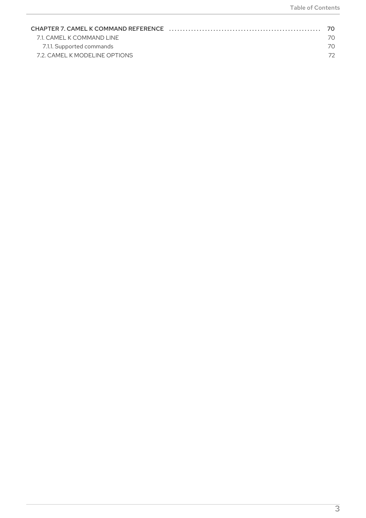|                             | - 70- |
|-----------------------------|-------|
| 71 CAMEL K COMMAND LINE     | 70.   |
| 7.1.1. Supported commands   | 70.   |
| 72 CAMEL K MODELINE OPTIONS | 72    |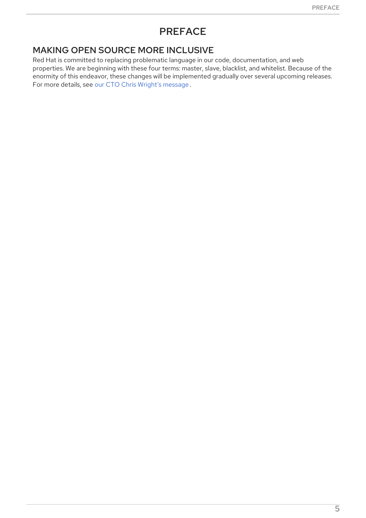# PREFACE

### <span id="page-8-1"></span><span id="page-8-0"></span>MAKING OPEN SOURCE MORE INCLUSIVE

Red Hat is committed to replacing problematic language in our code, documentation, and web properties. We are beginning with these four terms: master, slave, blacklist, and whitelist. Because of the enormity of this endeavor, these changes will be implemented gradually over several upcoming releases. For more details, see our CTO Chris Wright's [message](https://www.redhat.com/en/blog/making-open-source-more-inclusive-eradicating-problematic-language) .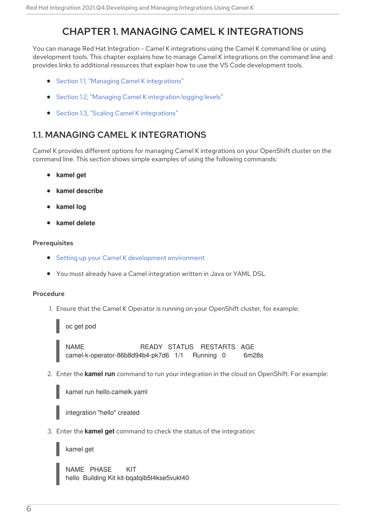# CHAPTER 1. MANAGING CAMEL K INTEGRATIONS

<span id="page-9-0"></span>You can manage Red Hat Integration - Camel K integrations using the Camel K command line or using development tools. This chapter explains how to manage Camel K integrations on the command line and provides links to additional resources that explain how to use the VS Code development tools.

- **•** Section 1.1, "Managing Camel K [integrations"](#page-10-0)
- **•** Section 1.2, "Managing Camel K [integration](#page-12-0) logging levels"
- **•** Section 1.3, "Scaling Camel K [integrations"](#page-13-0)

# <span id="page-9-1"></span>1.1. MANAGING CAMEL K INTEGRATIONS

Camel K provides different options for managing Camel K integrations on your OpenShift cluster on the command line. This section shows simple examples of using the following commands:

- **kamel get**
- **kamel describe**
- **kamel log**
- **kamel delete**

### **Prerequisites**

- **Setting up your Camel K [development](https://access.redhat.com/documentation/en-us/red_hat_integration/2021.Q4/html-single/getting_started_with_camel_k#setting-up-environment) environment**
- You must already have a Camel integration written in Java or YAML DSL

#### Procedure

1. Ensure that the Camel K Operator is running on your OpenShift cluster, for example:

oc get pod

NAME READY STATUS RESTARTS AGE camel-k-operator-86b8d94b4-pk7d6 1/1 Running 0 6m28s

2. Enter the **kamel run** command to run your integration in the cloud on OpenShift. For example:

kamel run hello.camelk.yaml

integration "hello" created

3. Enter the **kamel get** command to check the status of the integration:

kamel get

NAME PHASE KIT hello Building Kit kit-bqatqib5t4kse5vukt40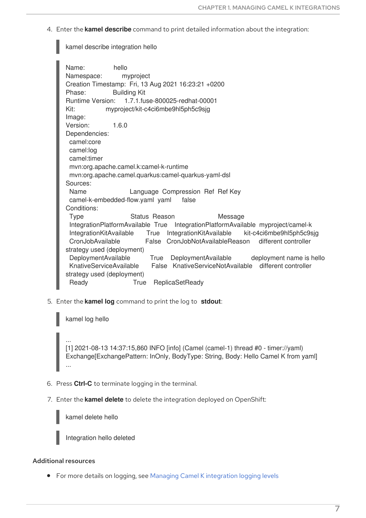<span id="page-10-0"></span>4. Enter the **kamel describe** command to print detailed information about the integration:

kamel describe integration hello

Name: hello Namespace: myproject Creation Timestamp: Fri, 13 Aug 2021 16:23:21 +0200 Phase: Building Kit Runtime Version: 1.7.1.fuse-800025-redhat-00001 Kit: myproject/kit-c4ci6mbe9hl5ph5c9sjg Image: Version: 1.6.0 Dependencies: camel:core camel:log camel:timer mvn:org.apache.camel.k:camel-k-runtime mvn:org.apache.camel.quarkus:camel-quarkus-yaml-dsl Sources: Name Language Compression Ref Ref Key camel-k-embedded-flow.yaml yaml false Conditions: Type Status Reason Message IntegrationPlatformAvailable True IntegrationPlatformAvailable myproject/camel-k IntegrationKitAvailable True IntegrationKitAvailable kit-c4ci6mbe9hl5ph5c9sjg CronJobAvailable False CronJobNotAvailableReason different controller strategy used (deployment) DeploymentAvailable True DeploymentAvailable deployment name is hello KnativeServiceAvailable False KnativeServiceNotAvailable different controller strategy used (deployment) Ready **True ReplicaSetReady** 

5. Enter the **kamel log** command to print the log to **stdout**:

kamel log hello

... [1] 2021-08-13 14:37:15,860 INFO [info] (Camel (camel-1) thread #0 - timer://yaml) Exchange[ExchangePattern: InOnly, BodyType: String, Body: Hello Camel K from yaml] ...

- 6. Press **Ctrl-C** to terminate logging in the terminal.
- 7. Enter the **kamel delete** to delete the integration deployed on OpenShift:

kamel delete hello

Integration hello deleted

#### Additional resources

For more details on logging, see Managing Camel K [integration](https://access.redhat.com/documentation/en-us/red_hat_integration/2021.Q4/html-single/developing_and_managing_integrations_using_camel_k#configuring-camel-k-properties-logging) logging levels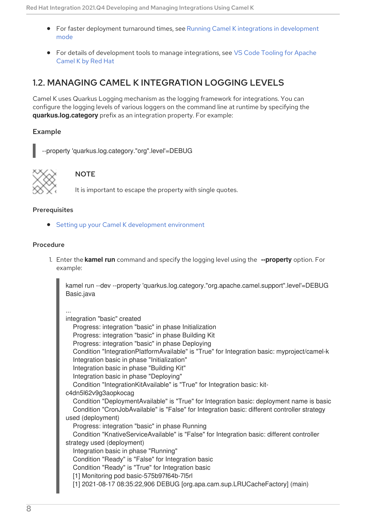- For faster deployment turnaround times, see Running Camel K integrations in [development](https://access.redhat.com/documentation/en-us/red_hat_integration/2021.Q4/html-single/developing_and_managing_integrations_using_camel_k#running-camel-k-integrations-dev-mode) mode
- For details of [development](https://marketplace.visualstudio.com/items?itemName=redhat.vscode-camelk) tools to manage integrations, see VS Code Tooling for Apache Camel K by Red Hat

### <span id="page-11-0"></span>1.2. MANAGING CAMEL K INTEGRATION LOGGING LEVELS

Camel K uses Quarkus Logging mechanism as the logging framework for integrations. You can configure the logging levels of various loggers on the command line at runtime by specifying the **quarkus.log.category** prefix as an integration property. For example:

### Example

--property 'quarkus.log.category."org".level'=DEBUG



### **NOTE**

It is important to escape the property with single quotes.

#### **Prerequisites**

**•** Setting up your Camel K [development](https://access.redhat.com/documentation/en-us/red_hat_integration/2021.Q4/html-single/getting_started_with_camel_k#setting-up-environment) environment

#### Procedure

1. Enter the **kamel run** command and specify the logging level using the **--property** option. For example:

kamel run --dev --property 'quarkus.log.category."org.apache.camel.support".level'=DEBUG Basic.java

```
...
integration "basic" created
  Progress: integration "basic" in phase Initialization
  Progress: integration "basic" in phase Building Kit
  Progress: integration "basic" in phase Deploying
  Condition "IntegrationPlatformAvailable" is "True" for Integration basic: myproject/camel-k
  Integration basic in phase "Initialization"
  Integration basic in phase "Building Kit"
  Integration basic in phase "Deploying"
  Condition "IntegrationKitAvailable" is "True" for Integration basic: kit-
c4dn5l62v9g3aopkocag
  Condition "DeploymentAvailable" is "True" for Integration basic: deployment name is basic
  Condition "CronJobAvailable" is "False" for Integration basic: different controller strategy
used (deployment)
  Progress: integration "basic" in phase Running
  Condition "KnativeServiceAvailable" is "False" for Integration basic: different controller
strategy used (deployment)
  Integration basic in phase "Running"
  Condition "Ready" is "False" for Integration basic
  Condition "Ready" is "True" for Integration basic
  [1] Monitoring pod basic-575b97f64b-7l5rl
  [1] 2021-08-17 08:35:22,906 DEBUG [org.apa.cam.sup.LRUCacheFactory] (main)
```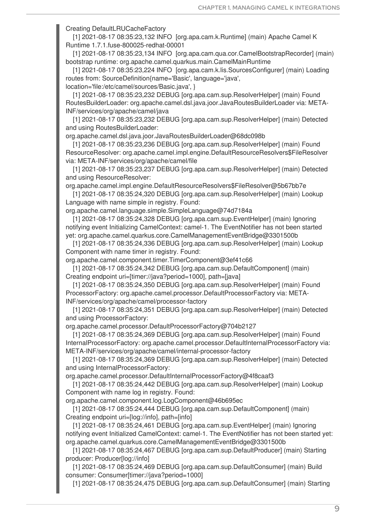<span id="page-12-0"></span>Creating DefaultLRUCacheFactory

[1] 2021-08-17 08:35:23,132 INFO [org.apa.cam.k.Runtime] (main) Apache Camel K Runtime 1.7.1.fuse-800025-redhat-00001

[1] 2021-08-17 08:35:23,134 INFO [org.apa.cam.qua.cor.CamelBootstrapRecorder] (main) bootstrap runtime: org.apache.camel.quarkus.main.CamelMainRuntime

[1] 2021-08-17 08:35:23,224 INFO [org.apa.cam.k.lis.SourcesConfigurer] (main) Loading routes from: SourceDefinition{name='Basic', language='java',

location='file:/etc/camel/sources/Basic.java', }

[1] 2021-08-17 08:35:23,232 DEBUG [org.apa.cam.sup.ResolverHelper] (main) Found RoutesBuilderLoader: org.apache.camel.dsl.java.joor.JavaRoutesBuilderLoader via: META-INF/services/org/apache/camel/java

[1] 2021-08-17 08:35:23,232 DEBUG [org.apa.cam.sup.ResolverHelper] (main) Detected and using RoutesBuilderLoader:

org.apache.camel.dsl.java.joor.JavaRoutesBuilderLoader@68dc098b

[1] 2021-08-17 08:35:23,236 DEBUG [org.apa.cam.sup.ResolverHelper] (main) Found ResourceResolver: org.apache.camel.impl.engine.DefaultResourceResolvers\$FileResolver via: META-INF/services/org/apache/camel/file

[1] 2021-08-17 08:35:23,237 DEBUG [org.apa.cam.sup.ResolverHelper] (main) Detected and using ResourceResolver:

org.apache.camel.impl.engine.DefaultResourceResolvers\$FileResolver@5b67bb7e

[1] 2021-08-17 08:35:24,320 DEBUG [org.apa.cam.sup.ResolverHelper] (main) Lookup Language with name simple in registry. Found:

org.apache.camel.language.simple.SimpleLanguage@74d7184a

[1] 2021-08-17 08:35:24,328 DEBUG [org.apa.cam.sup.EventHelper] (main) Ignoring notifying event Initializing CamelContext: camel-1. The EventNotifier has not been started yet: org.apache.camel.quarkus.core.CamelManagementEventBridge@3301500b

[1] 2021-08-17 08:35:24,336 DEBUG [org.apa.cam.sup.ResolverHelper] (main) Lookup Component with name timer in registry. Found:

org.apache.camel.component.timer.TimerComponent@3ef41c66

[1] 2021-08-17 08:35:24,342 DEBUG [org.apa.cam.sup.DefaultComponent] (main) Creating endpoint uri=[timer://java?period=1000], path=[java]

[1] 2021-08-17 08:35:24,350 DEBUG [org.apa.cam.sup.ResolverHelper] (main) Found ProcessorFactory: org.apache.camel.processor.DefaultProcessorFactory via: META-INF/services/org/apache/camel/processor-factory

[1] 2021-08-17 08:35:24,351 DEBUG [org.apa.cam.sup.ResolverHelper] (main) Detected and using ProcessorFactory:

org.apache.camel.processor.DefaultProcessorFactory@704b2127

[1] 2021-08-17 08:35:24,369 DEBUG [org.apa.cam.sup.ResolverHelper] (main) Found InternalProcessorFactory: org.apache.camel.processor.DefaultInternalProcessorFactory via: META-INF/services/org/apache/camel/internal-processor-factory

[1] 2021-08-17 08:35:24,369 DEBUG [org.apa.cam.sup.ResolverHelper] (main) Detected and using InternalProcessorFactory:

org.apache.camel.processor.DefaultInternalProcessorFactory@4f8caaf3

[1] 2021-08-17 08:35:24,442 DEBUG [org.apa.cam.sup.ResolverHelper] (main) Lookup Component with name log in registry. Found:

org.apache.camel.component.log.LogComponent@46b695ec

[1] 2021-08-17 08:35:24,444 DEBUG [org.apa.cam.sup.DefaultComponent] (main) Creating endpoint uri=[log://info], path=[info]

[1] 2021-08-17 08:35:24,461 DEBUG [org.apa.cam.sup.EventHelper] (main) Ignoring notifying event Initialized CamelContext: camel-1. The EventNotifier has not been started yet: org.apache.camel.quarkus.core.CamelManagementEventBridge@3301500b

[1] 2021-08-17 08:35:24,467 DEBUG [org.apa.cam.sup.DefaultProducer] (main) Starting producer: Producer[log://info]

[1] 2021-08-17 08:35:24,469 DEBUG [org.apa.cam.sup.DefaultConsumer] (main) Build consumer: Consumer[timer://java?period=1000]

[1] 2021-08-17 08:35:24,475 DEBUG [org.apa.cam.sup.DefaultConsumer] (main) Starting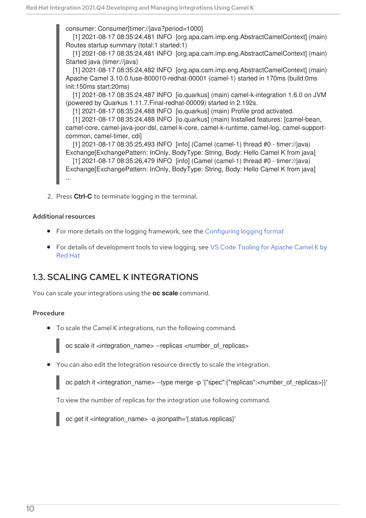consumer: Consumer[timer://java?period=1000]

[1] 2021-08-17 08:35:24,481 INFO [org.apa.cam.imp.eng.AbstractCamelContext] (main) Routes startup summary (total:1 started:1)

[1] 2021-08-17 08:35:24,481 INFO [org.apa.cam.imp.eng.AbstractCamelContext] (main) Started java (timer://java)

[1] 2021-08-17 08:35:24,482 INFO [org.apa.cam.imp.eng.AbstractCamelContext] (main) Apache Camel 3.10.0.fuse-800010-redhat-00001 (camel-1) started in 170ms (build:0ms init:150ms start:20ms)

[1] 2021-08-17 08:35:24,487 INFO [io.quarkus] (main) camel-k-integration 1.6.0 on JVM (powered by Quarkus 1.11.7.Final-redhat-00009) started in 2.192s.

[1] 2021-08-17 08:35:24,488 INFO [io.quarkus] (main) Profile prod activated.

[1] 2021-08-17 08:35:24,488 INFO [io.quarkus] (main) Installed features: [camel-bean, camel-core, camel-java-joor-dsl, camel-k-core, camel-k-runtime, camel-log, camel-supportcommon, camel-timer, cdi]

[1] 2021-08-17 08:35:25,493 INFO [info] (Camel (camel-1) thread #0 - timer://java) Exchange[ExchangePattern: InOnly, BodyType: String, Body: Hello Camel K from java]

[1] 2021-08-17 08:35:26,479 INFO [info] (Camel (camel-1) thread #0 - timer://java)

Exchange[ExchangePattern: InOnly, BodyType: String, Body: Hello Camel K from java] ...

2. Press **Ctrl-C** to terminate logging in the terminal.

### Additional resources

- For more details on the logging framework, see the [Configuring](https://access.redhat.com/documentation/en-us/red_hat_build_of_quarkus/1.11/html-single/configuring_logging_with_quarkus/index#proc-setting-runtime-configuration_quarkus-configuring-logging) logging format
- For details of [development](https://marketplace.visualstudio.com/items?itemName=redhat.vscode-camelk) tools to view logging, see VS Code Tooling for Apache Camel K by Red Hat

# <span id="page-13-0"></span>1.3. SCALING CAMEL K INTEGRATIONS

You can scale your integrations using the **oc scale** command.

### Procedure

To scale the Camel K integrations, run the following command.

oc scale it <integration\_name> --replicas <number\_of\_replicas>

You can also edit the Integration resource directly to scale the integration.

oc patch it <integration\_name> --type merge -p '{"spec":{"replicas":<number\_of\_replicas>}}'

To view the number of replicas for the integration use following command.

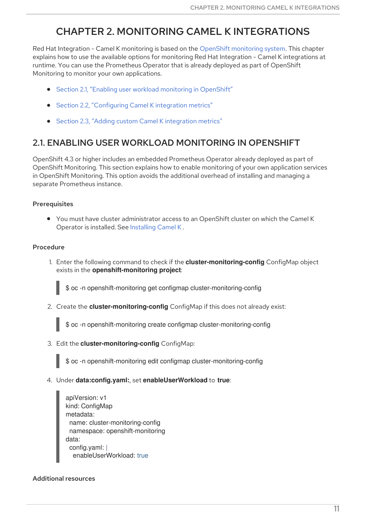# CHAPTER 2. MONITORING CAMEL K INTEGRATIONS

<span id="page-14-0"></span>Red Hat Integration - Camel K monitoring is based on the OpenShift [monitoring](https://access.redhat.com/documentation/en-us/openshift_container_platform/4.7/html-single/monitoring/index#understanding-the-monitoring-stack) system. This chapter explains how to use the available options for monitoring Red Hat Integration - Camel K integrations at runtime. You can use the Prometheus Operator that is already deployed as part of OpenShift Monitoring to monitor your own applications.

- **•** Section 2.1, "Enabling user workload monitoring in [OpenShift"](#page-14-1)
- Section 2.2, ["Configuring](#page-15-0) Camel K integration metrics"
- **•** Section 2.3, "Adding custom Camel K [integration](#page-17-0) metrics"

# <span id="page-14-1"></span>2.1. ENABLING USER WORKLOAD MONITORING IN OPENSHIFT

OpenShift 4.3 or higher includes an embedded Prometheus Operator already deployed as part of OpenShift Monitoring. This section explains how to enable monitoring of your own application services in OpenShift Monitoring. This option avoids the additional overhead of installing and managing a separate Prometheus instance.

### **Prerequisites**

You must have cluster administrator access to an OpenShift cluster on which the Camel K Operator is installed. See [Installing](https://access.redhat.com/documentation/en-us/red_hat_integration/2021.Q4/html-single/getting_started_with_camel_k#installing-camel-k) Camel K .

### Procedure

1. Enter the following command to check if the **cluster-monitoring-config** ConfigMap object exists in the **openshift-monitoring project**:

\$ oc -n openshift-monitoring get configmap cluster-monitoring-config

2. Create the **cluster-monitoring-config** ConfigMap if this does not already exist:

\$ oc -n openshift-monitoring create configmap cluster-monitoring-config

3. Edit the **cluster-monitoring-config** ConfigMap:

\$ oc -n openshift-monitoring edit configmap cluster-monitoring-config

4. Under **data:config.yaml:**, set **enableUserWorkload** to **true**:

apiVersion: v1 kind: ConfigMap metadata: name: cluster-monitoring-config namespace: openshift-monitoring data: config.yaml: | enableUserWorkload: true

#### Additional resources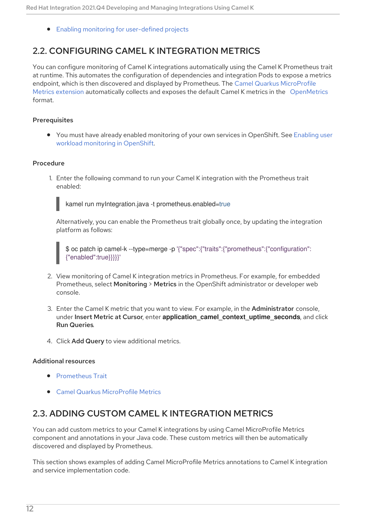Enabling monitoring for [user-defined](https://access.redhat.com/documentation/en-us/openshift_container_platform/4.10/html-single/monitoring/index#enabling-monitoring-for-user-defined-projects) projects

# <span id="page-15-0"></span>2.2. CONFIGURING CAMEL K INTEGRATION METRICS

You can configure monitoring of Camel K integrations automatically using the Camel K Prometheus trait at runtime. This automates the configuration of dependencies and integration Pods to expose a metrics endpoint, which is then discovered and displayed by Prometheus. The Camel Quarkus MicroProfile Metrics extension [automatically](https://camel.apache.org/camel-quarkus/latest/reference/extensions/microprofile-metrics.html) collects and exposes the default Camel K metrics in the [OpenMetrics](https://github.com/OpenObservability/OpenMetrics) format.

#### Prerequisites

You must have already enabled monitoring of your own services in [OpenShift.](https://access.redhat.com/documentation/en-us/red_hat_integration/2021.Q4/html-single/developing_and_managing_integrations_using_camel_k#enabling-ocp-prometheus-operator) See Enabling user workload monitoring in OpenShift.

#### Procedure

1. Enter the following command to run your Camel K integration with the Prometheus trait enabled:



kamel run myIntegration.java -t prometheus.enabled=true

Alternatively, you can enable the Prometheus trait globally once, by updating the integration platform as follows:

\$ oc patch ip camel-k --type=merge -p '{"spec":{"traits":{"prometheus":{"configuration": {"enabled":true}}}}}'

- 2. View monitoring of Camel K integration metrics in Prometheus. For example, for embedded Prometheus, select Monitoring > Metrics in the OpenShift administrator or developer web console.
- 3. Enter the Camel K metric that you want to view. For example, in the Administrator console, under Insert Metric at Cursor, enter application camel context uptime seconds, and click Run Queries.
- 4. Click Add Query to view additional metrics.

#### Additional resources

- **•** [Prometheus](#page-55-3) Trait
- Camel Quarkus [MicroProfile](https://camel.apache.org/camel-quarkus/latest/reference/extensions/microprofile-metrics.html#_usage) Metrics

# <span id="page-15-1"></span>2.3. ADDING CUSTOM CAMEL K INTEGRATION METRICS

You can add custom metrics to your Camel K integrations by using Camel MicroProfile Metrics component and annotations in your Java code. These custom metrics will then be automatically discovered and displayed by Prometheus.

This section shows examples of adding Camel MicroProfile Metrics annotations to Camel K integration and service implementation code.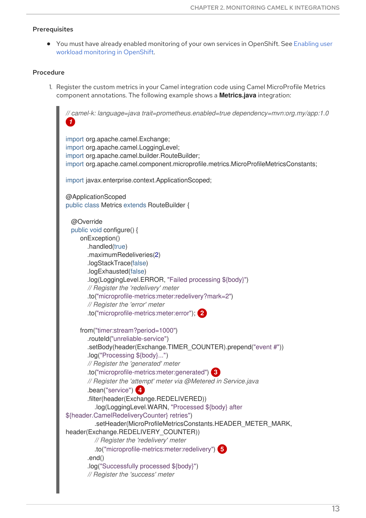#### **Prerequisites**

You must have already enabled monitoring of your own services in [OpenShift.](https://access.redhat.com/documentation/en-us/red_hat_integration/2021.Q4/html-single/developing_and_managing_integrations_using_camel_k#enabling-ocp-prometheus-operator) See Enabling user workload monitoring in OpenShift.

#### Procedure

1. Register the custom metrics in your Camel integration code using Camel MicroProfile Metrics component annotations. The following example shows a **Metrics.java** integration:

*// camel-k: language=java trait=prometheus.enabled=true dependency=mvn:org.my/app:1.0*

```
1
import org.apache.camel.Exchange;
import org.apache.camel.LoggingLevel;
import org.apache.camel.builder.RouteBuilder;
import org.apache.camel.component.microprofile.metrics.MicroProfileMetricsConstants;
import javax.enterprise.context.ApplicationScoped;
@ApplicationScoped
public class Metrics extends RouteBuilder {
 @Override
 public void configure() {
    onException()
       .handled(true)
       .maximumRedeliveries(2)
       .logStackTrace(false)
       .logExhausted(false)
       .log(LoggingLevel.ERROR, "Failed processing ${body}")
       // Register the 'redelivery' meter
       .to("microprofile-metrics:meter:redelivery?mark=2")
       // Register the 'error' meter
       .to("microprofile-metrics:meter:error"); 2
    from("timer:stream?period=1000")
       .routeId("unreliable-service")
       .setBody(header(Exchange.TIMER_COUNTER).prepend("event #"))
       .log("Processing ${body}...")
       // Register the 'generated' meter
       .to("microprofile-metrics:meter:generated") 3
       // Register the 'attempt' meter via @Metered in Service.java
       .bean("service") 4
       .filter(header(Exchange.REDELIVERED))
          .log(LoggingLevel.WARN, "Processed ${body} after
${header.CamelRedeliveryCounter} retries")
          .setHeader(MicroProfileMetricsConstants.HEADER_METER_MARK,
header(Exchange.REDELIVERY_COUNTER))
         // Register the 'redelivery' meter
         .to("microprofile-metrics:meter:redelivery") 5
       .end()
       .log("Successfully processed ${body}")
       // Register the 'success' meter
```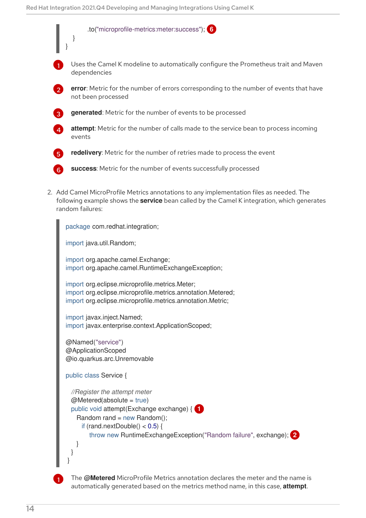[1](#page-16-0)

[2](#page-16-1)

[3](#page-16-2)

[4](#page-16-3)

[5](#page-16-4)

[6](#page-17-1)

<span id="page-17-1"></span><span id="page-17-0"></span>Uses the Camel K modeline to automatically configure the Prometheus trait and Maven dependencies **error**: Metric for the number of errors corresponding to the number of events that have not been processed **generated**: Metric for the number of events to be processed **attempt**: Metric for the number of calls made to the service bean to process incoming events **redelivery**: Metric for the number of retries made to process the event **success**: Metric for the number of events successfully processed 2. Add Camel MicroProfile Metrics annotations to any implementation files as needed. The following example shows the **service** bean called by the Camel K integration, which generates .to("microprofile-metrics:meter:success"); **6** } }

random failures: package com.redhat.integration; import java.util.Random; import org.apache.camel.Exchange; import org.apache.camel.RuntimeExchangeException; import org.eclipse.microprofile.metrics.Meter; import org.eclipse.microprofile.metrics.annotation.Metered; import org.eclipse.microprofile.metrics.annotation.Metric; import javax.inject.Named; import javax.enterprise.context.ApplicationScoped; @Named("service") @ApplicationScoped @io.quarkus.arc.Unremovable public class Service { *//Register the attempt meter*  $@$ Metered(absolute = true) public void attempt(Exchange exchange) { **1** Random rand = new Random(); if (rand.nextDouble()  $<$  0.5) { throw new RuntimeExchangeException("Random failure", exchange); **2** } } }

<span id="page-17-3"></span><span id="page-17-2"></span>The **@Metered** MicroProfile Metrics annotation declares the meter and the name is automatically generated based on the metrics method name, in this case, **attempt**.

[1](#page-17-2)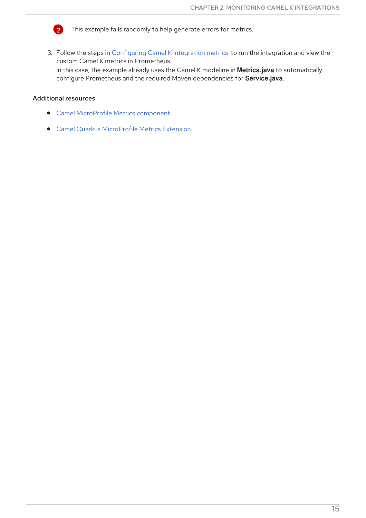

[2](#page-17-3) This example fails randomly to help generate errors for metrics.

3. Follow the steps in [Configuring](https://access.redhat.com/documentation/en-us/red_hat_integration/2021.Q4/html-single/developing_and_managing_integrations_using_camel_k#configuring-camel-k-metrics) Camel K integration metrics to run the integration and view the custom Camel K metrics in Prometheus. In this case, the example already uses the Camel K modeline in **Metrics.java** to automatically configure Prometheus and the required Maven dependencies for **Service.java**.

#### Additional resources

- Camel [MicroProfile](https://camel.apache.org/components/latest/microprofile-metrics-component.html) Metrics component
- Camel Quarkus [MicroProfile](https://camel.apache.org/camel-quarkus/latest/reference/extensions/microprofile-metrics.html) Metrics Extension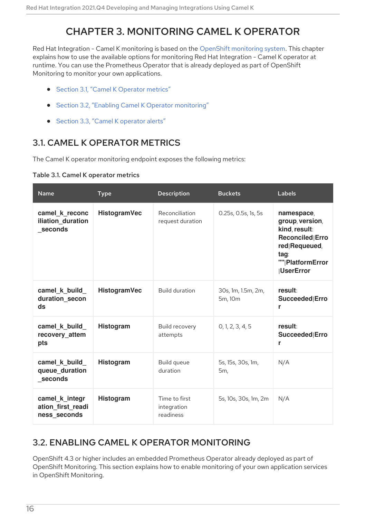# CHAPTER 3. MONITORING CAMEL K OPERATOR

<span id="page-19-0"></span>Red Hat Integration - Camel K monitoring is based on the OpenShift [monitoring](https://access.redhat.com/documentation/en-us/openshift_container_platform/4.7/html-single/monitoring/index#understanding-the-monitoring-stack) system. This chapter explains how to use the available options for monitoring Red Hat Integration - Camel K operator at runtime. You can use the Prometheus Operator that is already deployed as part of OpenShift Monitoring to monitor your own applications.

- Section 3.1, "Camel K [Operator](#page-19-1) metrics"
- Section 3.2, "Enabling Camel K Operator [monitoring"](#page-20-1)
- Section 3.3, "Camel K [operator](#page-22-0) alerts"

# <span id="page-19-1"></span>3.1. CAMEL K OPERATOR METRICS

The Camel K operator monitoring endpoint exposes the following metrics:

### Table 3.1. Camel K operator metrics

| <b>Name</b>                                         | <b>Type</b>         | <b>Description</b>                        | <b>Buckets</b>                | Labels                                                                                                                              |
|-----------------------------------------------------|---------------------|-------------------------------------------|-------------------------------|-------------------------------------------------------------------------------------------------------------------------------------|
| camel k reconc<br>iliation duration<br>_seconds     | HistogramVec        | Reconciliation<br>request duration        | 0.25s, 0.5s, 1s, 5s           | namespace,<br>group, version,<br>kind, result:<br>Reconciled Erro<br>red Requeued,<br>tag:<br>"" PlatformError<br><b>IUserError</b> |
| camel_k_build_<br>duration_secon<br>ds              | <b>HistogramVec</b> | <b>Build duration</b>                     | 30s, 1m, 1.5m, 2m,<br>5m, 10m | result:<br>Succeeded Erro<br>r                                                                                                      |
| camel_k_build_<br>recovery attem<br>pts             | Histogram           | Build recovery<br>attempts                | 0, 1, 2, 3, 4, 5              | result:<br>Succeeded Erro<br>r                                                                                                      |
| camel_k_build_<br>queue_duration<br>seconds         | Histogram           | Build queue<br>duration                   | 5s, 15s, 30s, 1m,<br>5m,      | N/A                                                                                                                                 |
| camel_k_integr<br>ation_first_readi<br>ness seconds | Histogram           | Time to first<br>integration<br>readiness | 5s, 10s, 30s, 1m, 2m          | N/A                                                                                                                                 |

# <span id="page-19-2"></span>3.2. ENABLING CAMEL K OPERATOR MONITORING

OpenShift 4.3 or higher includes an embedded Prometheus Operator already deployed as part of OpenShift Monitoring. This section explains how to enable monitoring of your own application services in OpenShift Monitoring.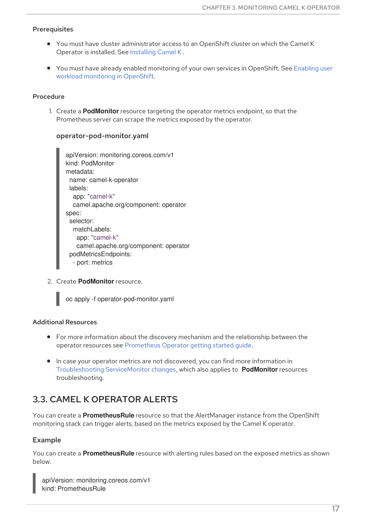### <span id="page-20-1"></span>**Prerequisites**

- You must have cluster administrator access to an OpenShift cluster on which the Camel K Operator is installed. See [Installing](https://access.redhat.com/documentation/en-us/red_hat_integration/2021.Q4/html-single/getting_started_with_camel_k#installing-camel-k) Camel K .
- You must have already enabled monitoring of your own services in [OpenShift.](https://access.redhat.com/documentation/en-us/red_hat_integration/2021.Q4/html-single/developing_and_managing_integrations_using_camel_k#enabling-ocp-prometheus-operator) See Enabling user workload monitoring in OpenShift.

#### Procedure

1. Create a **PodMonitor** resource targeting the operator metrics endpoint, so that the Prometheus server can scrape the metrics exposed by the operator.

#### operator-pod-monitor.yaml

```
apiVersion: monitoring.coreos.com/v1
kind: PodMonitor
metadata:
 name: camel-k-operator
 labels:
  app: "camel-k"
  camel.apache.org/component: operator
spec:
 selector:
  matchLabels:
   app: "camel-k"
   camel.apache.org/component: operator
 podMetricsEndpoints:
  - port: metrics
```
2. Create **PodMonitor** resource.



#### Additional Resources

- For more information about the discovery mechanism and the relationship between the operator resources see [Prometheus](https://github.com/prometheus-operator/prometheus-operator/blob/master/Documentation/user-guides/getting-started.md#related-resources) Operator getting started guide.
- In case your operator metrics are not discovered, you can find more information in [Troubleshooting](https://github.com/prometheus-operator/prometheus-operator/blob/master/Documentation/troubleshooting.md#troubleshooting-servicemonitor-changes) ServiceMonitor changes, which also applies to **PodMonitor** resources troubleshooting.

# <span id="page-20-0"></span>3.3. CAMEL K OPERATOR ALERTS

You can create a **PrometheusRule** resource so that the AlertManager instance from the OpenShift monitoring stack can trigger alerts, based on the metrics exposed by the Camel K operator.

#### Example

You can create a **PrometheusRule** resource with alerting rules based on the exposed metrics as shown below.

apiVersion: monitoring.coreos.com/v1 kind: PrometheusRule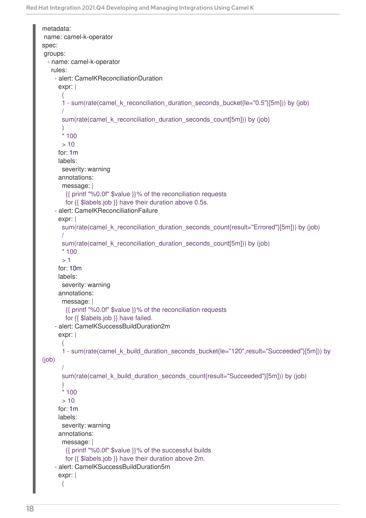```
metadata:
name: camel-k-operator
spec:
groups:
 - name: camel-k-operator
   rules:
    - alert: CamelKReconciliationDuration
     expr: |
       (
       1 - sum(rate(camel_k_reconciliation_duration_seconds_bucket{le="0.5"}[5m])) by (job)
      /
       sum(rate(camel_k_reconciliation_duration_seconds_count[5m])) by (job)
      )
       * 100
      > 10
     for: 1m
     labels:
       severity: warning
     annotations:
       message: |
        {{ printf "%0.0f" $value }}% of the reconciliation requests
        for {{ $labels.job }} have their duration above 0.5s.
    - alert: CamelKReconciliationFailure
     expr: |
       sum(rate(camel_k_reconciliation_duration_seconds_count{result="Errored"}[5m])) by (job)
      /
      sum(rate(camel_k_reconciliation_duration_seconds_count[5m])) by (job)
      * 100
      > 1for: 10m
     labels:
      severity: warning
     annotations:
       message: |
        {{ printf "%0.0f" $value }}% of the reconciliation requests
        for {{ $labels.job }} have failed.
    - alert: CamelKSuccessBuildDuration2m
     expr: |
       (
       1 - sum(rate(camel k build duration seconds bucket{le="120",result="Succeeded"}[5m])) by
(job)
       /
       sum(rate(camel_k_build_duration_seconds_count{result="Succeeded"}[5m])) by (job)
      \left( \right)* 100
      > 10
     for: 1m
     labels:
      severity: warning
     annotations:
       message: |
        {{ printf "%0.0f" $value }}% of the successful builds
        for {{ $labels.job }} have their duration above 2m.
    - alert: CamelKSuccessBuildDuration5m
     expr: |
      (
```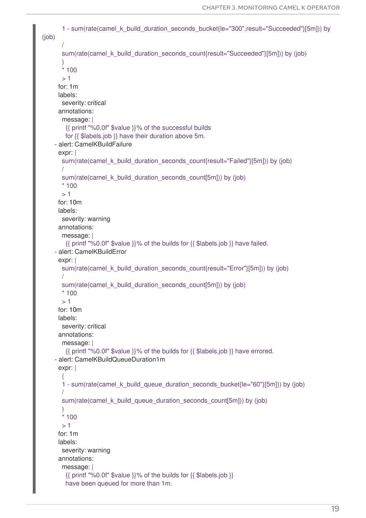```
1 - sum(rate(camel_k_build_duration_seconds_bucket{le="300",result="Succeeded"}[5m])) by
(job)
       /
      sum(rate(camel k build duration seconds count{result="Succeeded"}[5m])) by (job)
       )
      * 100
      > 1for: 1m
     labels:
      severity: critical
     annotations:
      message: |
        {{ printf "%0.0f" $value }}% of the successful builds
        for {{ $labels.job }} have their duration above 5m.
    - alert: CamelKBuildFailure
     expr: |
      sum(rate(camel k build duration seconds count{result="Failed"}[5m])) by (job)
      /
      sum(rate(camel_k_build_duration_seconds_count[5m])) by (job)
      * 100
      > 1for: 10m
     labels:
      severity: warning
     annotations:
      message: |
        {{ printf "%0.0f" $value }}% of the builds for {{ $labels.job }} have failed.
    - alert: CamelKBuildError
     expr: |
      sum(rate(camel_k_build_duration_seconds_count{result="Error"}[5m])) by (job)
      /
      sum(rate(camel_k_build_duration_seconds_count[5m])) by (job)
      * 100
      > 1for: 10m
     labels:
      severity: critical
     annotations:
      message: |
        {{ printf "%0.0f" $value }}% of the builds for {{ $labels.job }} have errored.
    - alert: CamelKBuildQueueDuration1m
     expr: |
       (
       1 - sum(rate(camel_k_build_queue_duration_seconds_bucket{le="60"}[5m])) by (job)
       /
      sum(rate(camel_k_build_queue_duration_seconds_count[5m])) by (job)
      )
      * 100
      > 1for: 1m
     labels:
      severity: warning
     annotations:
      message: |
        {{ printf "%0.0f" $value }}% of the builds for {{ $labels.job }}
        have been queued for more than 1m.
```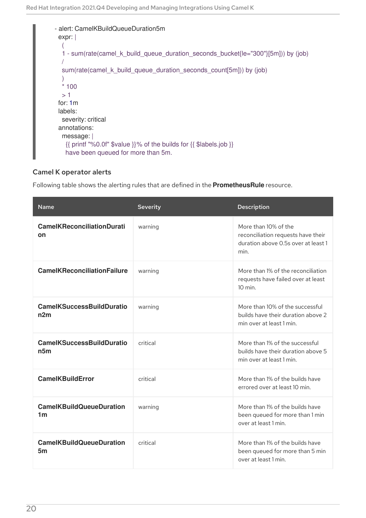```
- alert: CamelKBuildQueueDuration5m
 expr: |
  (
  1 - sum(rate(camel_k_build_queue_duration_seconds_bucket{le="300"}[5m])) by (job)
  /
  sum(rate(camel_k_build_queue_duration_seconds_count[5m])) by (job)
  )
  *100> 1for: 1m
labels:
  severity: critical
 annotations:
  message: |
   {{ printf "%0.0f" $value }}% of the builds for {{ $labels.job }}
   have been queued for more than 5m.
```
### Camel K operator alerts

Following table shows the alerting rules that are defined in the **PrometheusRule** resource.

| <b>Name</b>                                       | <b>Severity</b> | <b>Description</b>                                                                                        |
|---------------------------------------------------|-----------------|-----------------------------------------------------------------------------------------------------------|
| <b>CamelKReconciliationDurati</b><br><b>on</b>    | warning         | More than 10% of the<br>reconciliation requests have their<br>duration above 0.5s over at least 1<br>min. |
| <b>CamelKReconciliationFailure</b>                | warning         | More than 1% of the reconciliation<br>requests have failed over at least<br>10 min.                       |
| <b>CamelKSuccessBuildDuratio</b><br>n2m           | warning         | More than 10% of the successful<br>builds have their duration above 2<br>min over at least 1 min.         |
| <b>CamelKSuccessBuildDuratio</b><br>n5m           | critical        | More than 1% of the successful<br>builds have their duration above 5<br>min over at least 1 min.          |
| <b>CamelKBuildError</b>                           | critical        | More than 1% of the builds have<br>errored over at least 10 min.                                          |
| <b>CamelKBuildQueueDuration</b><br>1 <sub>m</sub> | warning         | More than 1% of the builds have<br>been queued for more than 1 min<br>over at least 1 min.                |
| <b>CamelKBuildQueueDuration</b><br>5 <sub>m</sub> | critical        | More than 1% of the builds have<br>been queued for more than 5 min<br>over at least 1 min.                |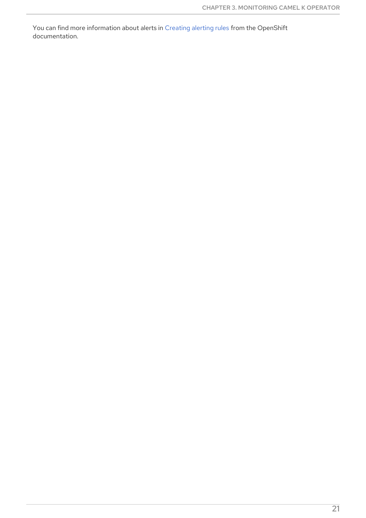You can find more information about alerts in [Creating](https://access.redhat.com/documentation/en-us/openshift_container_platform/4.10/html-single/monitoring/index#creating-alerting-rules-for-user-defined-projects_managing-alerts) alerting rules from the OpenShift documentation.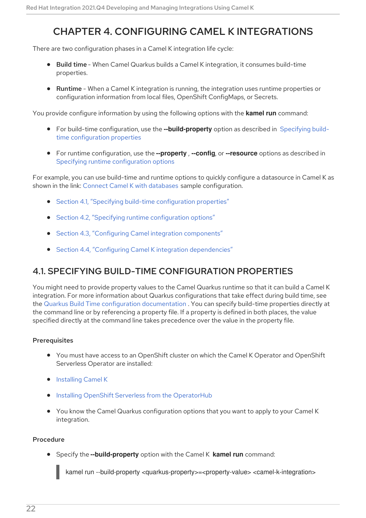# <span id="page-25-0"></span>CHAPTER 4. CONFIGURING CAMEL K INTEGRATIONS

There are two configuration phases in a Camel K integration life cycle:

- Build time When Camel Quarkus builds a Camel K integration, it consumes build-time properties.
- Runtime When a Camel K integration is running, the integration uses runtime properties or configuration information from local files, OpenShift ConfigMaps, or Secrets.

You provide configure information by using the following options with the **kamel run** command:

- For build-time configuration, use the **[--build-property](https://access.redhat.com/documentation/en-us/red_hat_integration/2021.Q4/html-single/developing_and_managing_integrations_using_camel_k#specifying-build-time-configuration-properties)** option as described in Specifying buildtime configuration properties
- For runtime configuration, use the **--property** , **--config**, or **--resource** options as described in Specifying runtime [configuration](https://access.redhat.com/documentation/en-us/red_hat_integration/2021.Q4/html-single/developing_and_managing_integrations_using_camel_k#specifying-runtime-configuration-options) options

For example, you can use build-time and runtime options to quickly configure a datasource in Camel K as shown in the link: Connect Camel K with [databases](https://github.com/apache/camel-k/tree/main/examples/databases) sample configuration.

- Section 4.1, "Specifying build-time [configuration](#page-26-1) properties"
- Section 4.2, "Specifying runtime [configuration](#page-32-1) options"
- Section 4.3, "Configuring Camel integration [components"](#page-39-2)
- Section 4.4, "Configuring Camel K integration [dependencies"](#page-40-0)

# <span id="page-25-1"></span>4.1. SPECIFYING BUILD-TIME CONFIGURATION PROPERTIES

You might need to provide property values to the Camel Quarkus runtime so that it can build a Camel K integration. For more information about Quarkus configurations that take effect during build time, see the Quarkus Build Time configuration [documentation](https://quarkus.io/guides/config#build-time-configuration) . You can specify build-time properties directly at the command line or by referencing a property file. If a property is defined in both places, the value specified directly at the command line takes precedence over the value in the property file.

#### **Prerequisites**

- You must have access to an OpenShift cluster on which the Camel K Operator and OpenShift Serverless Operator are installed:
- **•** [Installing](https://access.redhat.com/documentation/en-us/red_hat_integration/2021.Q4/html-single/getting_started_with_camel_k#installing-camel-k) Camel K
- **•** Installing OpenShift Serverless from the [OperatorHub](https://access.redhat.com/documentation/en-us/red_hat_integration/2021.Q4/html-single/getting_started_with_camel_k#installing-serverless)
- You know the Camel Quarkus configuration options that you want to apply to your Camel K integration.

#### Procedure

Specify the **--build-property** option with the Camel K **kamel run** command:

kamel run --build-property <quarkus-property>=<property-value> <camel-k-integration>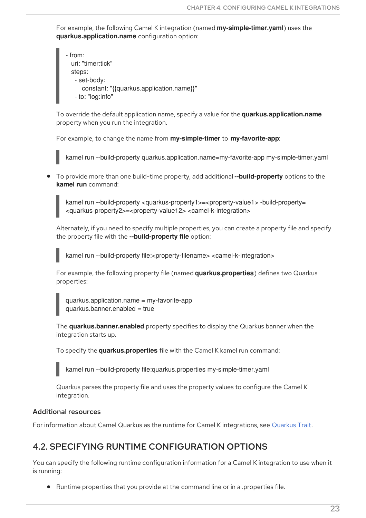<span id="page-26-1"></span>For example, the following Camel K integration (named **my-simple-timer.yaml**) uses the **quarkus.application.name** configuration option:

```
- from:
 uri: "timer:tick"
 steps:
   - set-body:
     constant: "{{quarkus.application.name}}"
   - to: "log:info"
```
To override the default application name, specify a value for the **quarkus.application.name** property when you run the integration.

For example, to change the name from **my-simple-timer** to **my-favorite-app**:

kamel run --build-property quarkus.application.name=my-favorite-app my-simple-timer.yaml

To provide more than one build-time property, add additional **--build-property** options to the **kamel run** command:

kamel run --build-property <quarkus-property1>=<property-value1> -build-property= <quarkus-property2>=<property-value12> <camel-k-integration>

Alternately, if you need to specify multiple properties, you can create a property file and specify the property file with the **--build-property file** option:

kamel run --build-property file:<property-filename> <camel-k-integration>

For example, the following property file (named **quarkus.properties**) defines two Quarkus properties:

quarkus.application.name = my-favorite-app quarkus.banner.enabled = true

The **quarkus.banner.enabled** property specifies to display the Quarkus banner when the integration starts up.

To specify the **quarkus.properties** file with the Camel K kamel run command:

kamel run --build-property file:quarkus.properties my-simple-timer.yaml

Quarkus parses the property file and uses the property values to configure the Camel K integration.

### Additional resources

For information about Camel Quarkus as the runtime for Camel K integrations, see [Quarkus](https://access.redhat.com/documentation/en-us/red_hat_integration/2021.Q4/html-single/developing_and_managing_integrations_using_camel_k#quarkus_trait) Trait.

# <span id="page-26-0"></span>4.2. SPECIFYING RUNTIME CONFIGURATION OPTIONS

You can specify the following runtime configuration information for a Camel K integration to use when it is running:

Runtime properties that you provide at the command line or in a .properties file.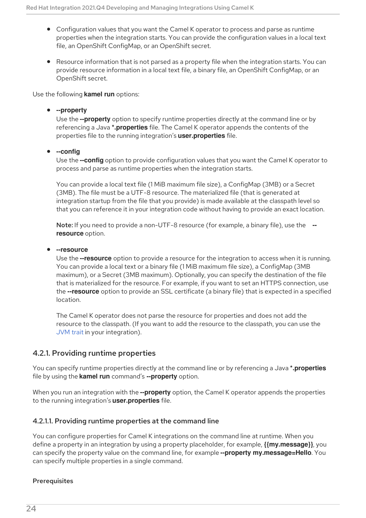- Configuration values that you want the Camel K operator to process and parse as runtime properties when the integration starts. You can provide the configuration values in a local text file, an OpenShift ConfigMap, or an OpenShift secret.
- Resource information that is not parsed as a property file when the integration starts. You can provide resource information in a local text file, a binary file, an OpenShift ConfigMap, or an OpenShift secret.

Use the following **kamel run** options:

#### **--property**

Use the **--property** option to specify runtime properties directly at the command line or by referencing a Java **\*.properties** file. The Camel K operator appends the contents of the properties file to the running integration's **user.properties** file.

#### **--config**

Use the **--config** option to provide configuration values that you want the Camel K operator to process and parse as runtime properties when the integration starts.

You can provide a local text file (1 MiB maximum file size), a ConfigMap (3MB) or a Secret (3MB). The file must be a UTF-8 resource. The materialized file (that is generated at integration startup from the file that you provide) is made available at the classpath level so that you can reference it in your integration code without having to provide an exact location.

Note: If you need to provide a non-UTF-8 resource (for example, a binary file), use the **- resource** option.

#### **--resource**

Use the **--resource** option to provide a resource for the integration to access when it is running. You can provide a local text or a binary file (1 MiB maximum file size), a ConfigMap (3MB maximum), or a Secret (3MB maximum). Optionally, you can specify the destination of the file that is materialized for the resource. For example, if you want to set an HTTPS connection, use the **--resource** option to provide an SSL certificate (a binary file) that is expected in a specified location.

The Camel K operator does not parse the resource for properties and does not add the resource to the classpath. (If you want to add the resource to the classpath, you can use the [JVM](https://access.redhat.com/documentation/en-us/red_hat_integration/2021.Q4/html-single/developing_and_managing_integrations_using_camel_k#jvm_trait) trait in your integration).

### <span id="page-27-0"></span>4.2.1. Providing runtime properties

You can specify runtime properties directly at the command line or by referencing a Java **\*.properties** file by using the **kamel run** command's **--property** option.

When you run an integration with the **--property** option, the Camel K operator appends the properties to the running integration's **user.properties** file.

### <span id="page-27-1"></span>4.2.1.1. Providing runtime properties at the command line

You can configure properties for Camel K integrations on the command line at runtime. When you define a property in an integration by using a property placeholder, for example, **{{my.message}}**, you can specify the property value on the command line, for example **--property my.message=Hello**. You can specify multiple properties in a single command.

#### **Prerequisites**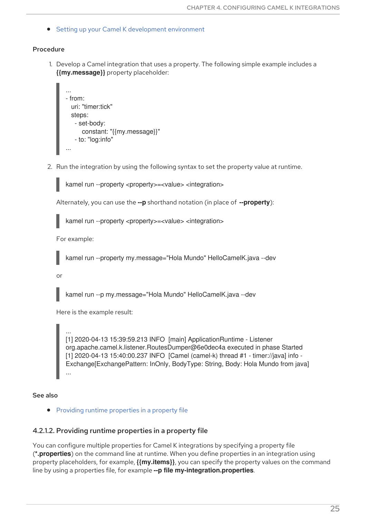Setting up your Camel K [development](https://access.redhat.com/documentation/en-us/red_hat_integration/2021.Q4/html-single/getting_started_with_camel_k#setting-up-environment) environment

#### Procedure

1. Develop a Camel integration that uses a property. The following simple example includes a **{{my.message}}** property placeholder:

```
...
- from:
  uri: "timer:tick"
  steps:
   - set-body:
      constant: "{{my.message}}"
   - to: "log:info"
...
```
2. Run the integration by using the following syntax to set the property value at runtime.

kamel run --property <property>=<value> <integration>

Alternately, you can use the **--p** shorthand notation (in place of **--property**):

kamel run --property <property>=<value> <integration>

For example:

```
kamel run --property my.message="Hola Mundo" HelloCamelK.java --dev
```
or

kamel run --p my.message="Hola Mundo" HelloCamelK.java --dev

Here is the example result:

... [1] 2020-04-13 15:39:59.213 INFO [main] ApplicationRuntime - Listener org.apache.camel.k.listener.RoutesDumper@6e0dec4a executed in phase Started [1] 2020-04-13 15:40:00.237 INFO [Camel (camel-k) thread #1 - timer://java] info - Exchange[ExchangePattern: InOnly, BodyType: String, Body: Hola Mundo from java] ...

#### See also

**•** Providing runtime [properties](https://access.redhat.com/documentation/en-us/red_hat_integration/2021.Q4/html-single/developing_and_managing_integrations_using_camel_k#providing-runtime-properties-property-file) in a property file

#### <span id="page-28-0"></span>4.2.1.2. Providing runtime properties in a property file

You can configure multiple properties for Camel K integrations by specifying a property file (**\*.properties**) on the command line at runtime. When you define properties in an integration using property placeholders, for example, **{{my.items}}**, you can specify the property values on the command line by using a properties file, for example **--p file my-integration.properties**.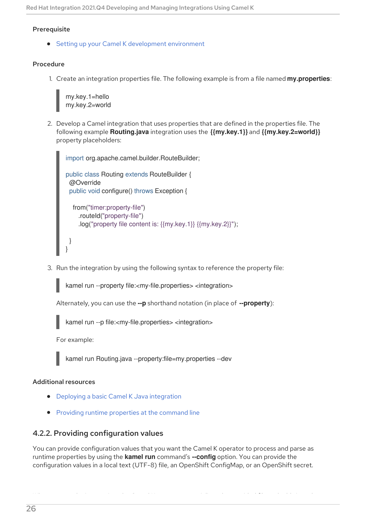#### **Prerequisite**

**•** Setting up your Camel K [development](https://access.redhat.com/documentation/en-us/red_hat_integration/2021.Q4/html-single/getting_started_with_camel_k#setting-up-environment) environment

#### Procedure

1. Create an integration properties file. The following example is from a file named **my.properties**:

```
my.key.1=hello
my.key.2=world
```
2. Develop a Camel integration that uses properties that are defined in the properties file. The following example **Routing.java** integration uses the **{{my.key.1}}** and **{{my.key.2=world}}** property placeholders:



3. Run the integration by using the following syntax to reference the property file:

kamel run --property file:<my-file.properties> <integration>

Alternately, you can use the **--p** shorthand notation (in place of **--property**):

kamel run --p file:<my-file.properties> <integration>

For example:

kamel run Routing.java --property:file=my.properties --dev

#### Additional resources

- **•** Deploying a basic Camel K Java [integration](https://access.redhat.com/documentation/en-us/red_hat_integration/2021.Q4/html-single/getting_started_with_camel_k#deploying-basic-integration)
- **•** Providing runtime [properties](https://access.redhat.com/documentation/en-us/red_hat_integration/2021.Q4/html-single/developing_and_managing_integrations_using_camel_k#providing-runtime-properties-command-line) at the command line

### <span id="page-29-0"></span>4.2.2. Providing configuration values

You can provide configuration values that you want the Camel K operator to process and parse as runtime properties by using the **kamel run** command's **--config** option. You can provide the configuration values in a local text (UTF-8) file, an OpenShift ConfigMap, or an OpenShift secret.

When you run the integration, the Camel K operator materializes the provided file and adds it to the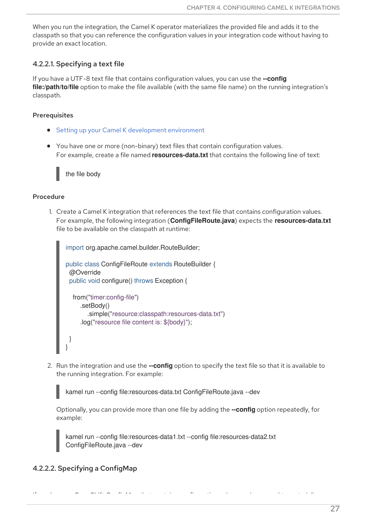When you run the integration, the Camel K operator materializes the provided file and adds it to the classpath so that you can reference the configuration values in your integration code without having to provide an exact location.

### <span id="page-30-0"></span>4.2.2.1. Specifying a text file

If you have a UTF-8 text file that contains configuration values, you can use the **--config file:/path/to/file** option to make the file available (with the same file name) on the running integration's classpath.

#### **Prerequisites**

- **•** Setting up your Camel K [development](https://access.redhat.com/documentation/en-us/red_hat_integration/2021.Q4/html-single/getting_started_with_camel_k#setting-up-environment) environment
- You have one or more (non-binary) text files that contain configuration values. For example, create a file named **resources-data.txt** that contains the following line of text:



#### Procedure

1. Create a Camel K integration that references the text file that contains configuration values. For example, the following integration (**ConfigFileRoute.java**) expects the **resources-data.txt** file to be available on the classpath at runtime:

```
import org.apache.camel.builder.RouteBuilder;
public class ConfigFileRoute extends RouteBuilder {
 @Override
 public void configure() throws Exception {
  from("timer:config-file")
     .setBody()
        .simple("resource:classpath:resources-data.txt")
     .log("resource file content is: ${body}");
 }
}
```
2. Run the integration and use the **--config** option to specify the text file so that it is available to the running integration. For example:

kamel run --config file:resources-data.txt ConfigFileRoute.java --dev

Optionally, you can provide more than one file by adding the **--config** option repeatedly, for example:

kamel run --config file:resources-data1.txt --config file:resources-data2.txt ConfigFileRoute.java --dev

If you have an OpenShift Configuration values, and you need to materialize and you need to materialize and you

### <span id="page-30-1"></span>4.2.2.2. Specifying a ConfigMap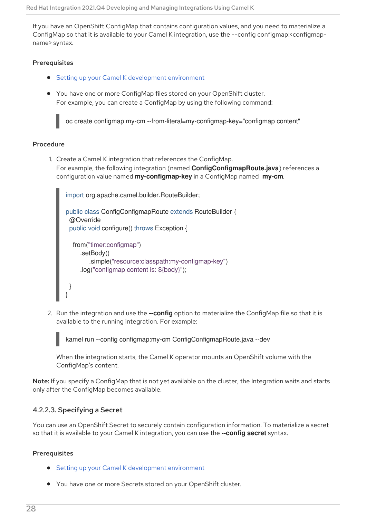If you have an OpenShift ConfigMap that contains configuration values, and you need to materialize a ConfigMap so that it is available to your Camel K integration, use the --config configmap:<configmapname> syntax.

### Prerequisites

- **Setting up your Camel K [development](https://access.redhat.com/documentation/en-us/red_hat_integration/2021.Q4/html-single/getting_started_with_camel_k#setting-up-environment) environment**
- You have one or more ConfigMap files stored on your OpenShift cluster. For example, you can create a ConfigMap by using the following command:

oc create configmap my-cm --from-literal=my-configmap-key="configmap content"

#### Procedure

1. Create a Camel K integration that references the ConfigMap. For example, the following integration (named **ConfigConfigmapRoute.java**) references a configuration value named **my-configmap-key** in a ConfigMap named **my-cm**.

```
import org.apache.camel.builder.RouteBuilder;
public class ConfigConfigmapRoute extends RouteBuilder {
 @Override
 public void configure() throws Exception {
  from("timer:configmap")
     .setBody()
        .simple("resource:classpath:my-configmap-key")
     .log("configmap content is: ${body}");
 }
}
```
2. Run the integration and use the **--config** option to materialize the ConfigMap file so that it is available to the running integration. For example:

kamel run --config configmap:my-cm ConfigConfigmapRoute.java --dev

When the integration starts, the Camel K operator mounts an OpenShift volume with the ConfigMap's content.

Note: If you specify a ConfigMap that is not yet available on the cluster, the Integration waits and starts only after the ConfigMap becomes available.

### <span id="page-31-0"></span>4.2.2.3. Specifying a Secret

You can use an OpenShift Secret to securely contain configuration information. To materialize a secret so that it is available to your Camel K integration, you can use the **--config secret** syntax.

#### **Prerequisites**

- Setting up your Camel K [development](https://access.redhat.com/documentation/en-us/red_hat_integration/2021.Q4/html-single/getting_started_with_camel_k#setting-up-environment) environment
- You have one or more Secrets stored on your OpenShift cluster.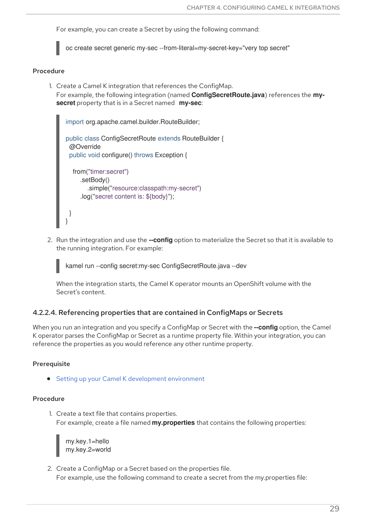<span id="page-32-1"></span>For example, you can create a Secret by using the following command:

oc create secret generic my-sec --from-literal=my-secret-key="very top secret"

#### Procedure

1. Create a Camel K integration that references the ConfigMap. For example, the following integration (named **ConfigSecretRoute.java**) references the **mysecret** property that is in a Secret named **my-sec**:



2. Run the integration and use the **--config** option to materialize the Secret so that it is available to the running integration. For example:

kamel run --config secret:my-sec ConfigSecretRoute.java --dev

When the integration starts, the Camel K operator mounts an OpenShift volume with the Secret's content.

#### <span id="page-32-0"></span>4.2.2.4. Referencing properties that are contained in ConfigMaps or Secrets

When you run an integration and you specify a ConfigMap or Secret with the **--config** option, the Camel K operator parses the ConfigMap or Secret as a runtime property file. Within your integration, you can reference the properties as you would reference any other runtime property.

#### **Prerequisite**

**•** Setting up your Camel K [development](https://access.redhat.com/documentation/en-us/red_hat_integration/2021.Q4/html-single/getting_started_with_camel_k#setting-up-environment) environment

#### Procedure

1. Create a text file that contains properties. For example, create a file named **my.properties** that contains the following properties:

my.key.1=hello my.key.2=world

2. Create a ConfigMap or a Secret based on the properties file. For example, use the following command to create a secret from the my.properties file: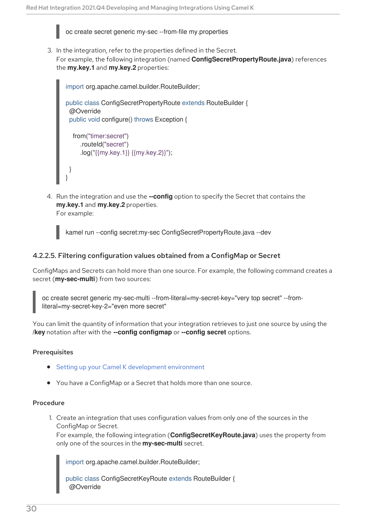

3. In the integration, refer to the properties defined in the Secret.

For example, the following integration (named **ConfigSecretPropertyRoute.java**) references the **my.key.1** and **my.key.2** properties:

```
import org.apache.camel.builder.RouteBuilder;
public class ConfigSecretPropertyRoute extends RouteBuilder {
 @Override
 public void configure() throws Exception {
  from("timer:secret")
     .routeId("secret")
     .log("{{my.key.1}} {{my.key.2}}");
 }
}
```
4. Run the integration and use the **--config** option to specify the Secret that contains the **my.key.1** and **my.key.2** properties. For example:

kamel run --config secret:my-sec ConfigSecretPropertyRoute.java --dev

#### <span id="page-33-0"></span>4.2.2.5. Filtering configuration values obtained from a ConfigMap or Secret

ConfigMaps and Secrets can hold more than one source. For example, the following command creates a secret (**my-sec-multi**) from two sources:

oc create secret generic my-sec-multi --from-literal=my-secret-key="very top secret" --fromliteral=my-secret-key-2="even more secret"

You can limit the quantity of information that your integration retrieves to just one source by using the **/key** notation after with the **--config configmap** or **--config secret** options.

#### Prerequisites

- Setting up your Camel K [development](https://access.redhat.com/documentation/en-us/red_hat_integration/2021.Q4/html-single/getting_started_with_camel_k#setting-up-environment) environment
- You have a ConfigMap or a Secret that holds more than one source.

#### Procedure

1. Create an integration that uses configuration values from only one of the sources in the ConfigMap or Secret.

For example, the following integration (**ConfigSecretKeyRoute.java**) uses the property from only one of the sources in the **my-sec-multi** secret.

import org.apache.camel.builder.RouteBuilder;

public class ConfigSecretKeyRoute extends RouteBuilder { @Override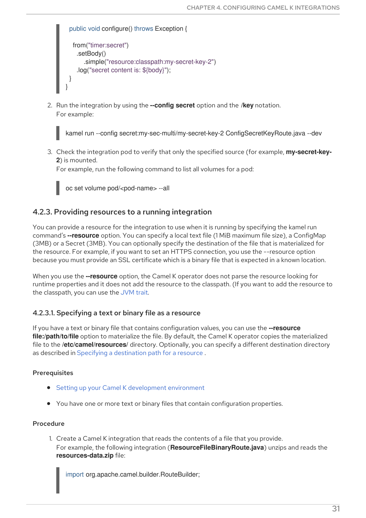```
public void configure() throws Exception {
  from("timer:secret")
    .setBody()
      .simple("resource:classpath:my-secret-key-2")
    .log("secret content is: ${body}");
 }
}
```
2. Run the integration by using the **--config secret** option and the **/key** notation. For example:

kamel run --config secret:my-sec-multi/my-secret-key-2 ConfigSecretKeyRoute.java --dev

3. Check the integration pod to verify that only the specified source (for example, **my-secret-key-2**) is mounted.

For example, run the following command to list all volumes for a pod:

oc set volume pod/<pod-name> --all

### <span id="page-34-0"></span>4.2.3. Providing resources to a running integration

You can provide a resource for the integration to use when it is running by specifying the kamel run command's **--resource** option. You can specify a local text file (1 MiB maximum file size), a ConfigMap (3MB) or a Secret (3MB). You can optionally specify the destination of the file that is materialized for the resource. For example, if you want to set an HTTPS connection, you use the --resource option because you must provide an SSL certificate which is a binary file that is expected in a known location.

When you use the **--resource** option, the Camel K operator does not parse the resource looking for runtime properties and it does not add the resource to the classpath. (If you want to add the resource to the classpath, you can use the [JVM](https://access.redhat.com/documentation/en-us/red_hat_integration/2021.Q4/html-single/developing_and_managing_integrations_using_camel_k#jvm_trait) trait.

### <span id="page-34-1"></span>4.2.3.1. Specifying a text or binary file as a resource

If you have a text or binary file that contains configuration values, you can use the **--resource file:/path/to/file** option to materialize the file. By default, the Camel K operator copies the materialized file to the **/etc/camel/resources/** directory. Optionally, you can specify a different destination directory as described in Specifying a [destination](https://access.redhat.com/documentation/en-us/red_hat_integration/2021.Q4/html-single/developing_and_managing_integrations_using_camel_k#specifying-destination-resource) path for a resource .

#### **Prerequisites**

- **Setting up your Camel K [development](https://access.redhat.com/documentation/en-us/red_hat_integration/2021.Q4/html-single/getting_started_with_camel_k#setting-up-environment) environment**
- You have one or more text or binary files that contain configuration properties.

#### Procedure

1. Create a Camel K integration that reads the contents of a file that you provide. For example, the following integration (**ResourceFileBinaryRoute.java**) unzips and reads the **resources-data.zip** file:

import org.apache.camel.builder.RouteBuilder;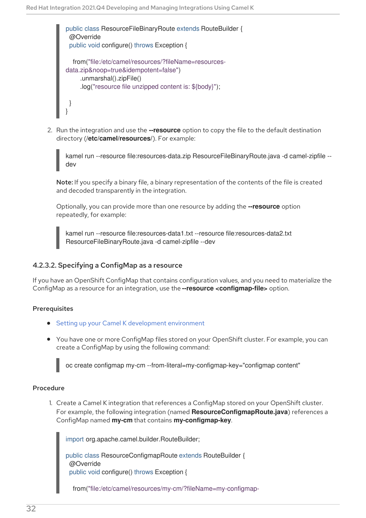

2. Run the integration and use the **--resource** option to copy the file to the default destination directory (**/etc/camel/resources/**). For example:

kamel run --resource file:resources-data.zip ResourceFileBinaryRoute.java -d camel-zipfile - dev

Note: If you specify a binary file, a binary representation of the contents of the file is created and decoded transparently in the integration.

Optionally, you can provide more than one resource by adding the **--resource** option repeatedly, for example:

kamel run --resource file:resources-data1.txt --resource file:resources-data2.txt ResourceFileBinaryRoute.java -d camel-zipfile --dev

### <span id="page-35-0"></span>4.2.3.2. Specifying a ConfigMap as a resource

If you have an OpenShift ConfigMap that contains configuration values, and you need to materialize the ConfigMap as a resource for an integration, use the **--resource <configmap-file>** option.

#### Prerequisites

- **Setting up your Camel K [development](https://access.redhat.com/documentation/en-us/red_hat_integration/2021.Q4/html-single/getting_started_with_camel_k#setting-up-environment) environment**
- You have one or more ConfigMap files stored on your OpenShift cluster. For example, you can create a ConfigMap by using the following command:

oc create configmap my-cm --from-literal=my-configmap-key="configmap content"

#### Procedure

1. Create a Camel K integration that references a ConfigMap stored on your OpenShift cluster. For example, the following integration (named **ResourceConfigmapRoute.java**) references a ConfigMap named **my-cm** that contains **my-configmap-key**.

import org.apache.camel.builder.RouteBuilder;

public class ResourceConfigmapRoute extends RouteBuilder { @Override public void configure() throws Exception {

from("file:/etc/camel/resources/my-cm/?fileName=my-configmap-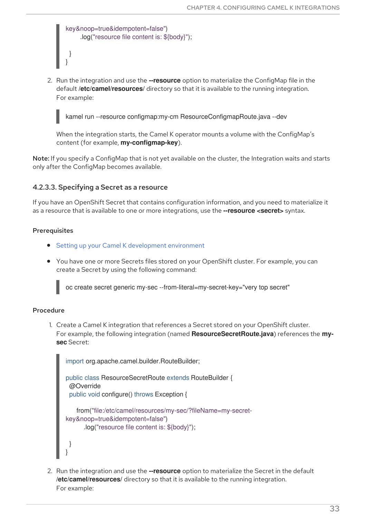

2. Run the integration and use the **--resource** option to materialize the ConfigMap file in the default **/etc/camel/resources/** directory so that it is available to the running integration. For example:

kamel run --resource configmap:my-cm ResourceConfigmapRoute.java --dev

When the integration starts, the Camel K operator mounts a volume with the ConfigMap's content (for example, **my-configmap-key**).

Note: If you specify a ConfigMap that is not yet available on the cluster, the Integration waits and starts only after the ConfigMap becomes available.

#### 4.2.3.3. Specifying a Secret as a resource

If you have an OpenShift Secret that contains configuration information, and you need to materialize it as a resource that is available to one or more integrations, use the **--resource <secret>** syntax.

#### **Prerequisites**

- **•** Setting up your Camel K [development](https://access.redhat.com/documentation/en-us/red_hat_integration/2021.Q4/html-single/getting_started_with_camel_k#setting-up-environment) environment
- You have one or more Secrets files stored on your OpenShift cluster. For example, you can create a Secret by using the following command:

oc create secret generic my-sec --from-literal=my-secret-key="very top secret"

#### Procedure

1. Create a Camel K integration that references a Secret stored on your OpenShift cluster. For example, the following integration (named **ResourceSecretRoute.java**) references the **mysec** Secret:

```
import org.apache.camel.builder.RouteBuilder;
public class ResourceSecretRoute extends RouteBuilder {
 @Override
 public void configure() throws Exception {
   from("file:/etc/camel/resources/my-sec/?fileName=my-secret-
key&noop=true&idempotent=false")
      .log("resource file content is: ${body}");
 }
}
```
2. Run the integration and use the **--resource** option to materialize the Secret in the default **/etc/camel/resources/** directory so that it is available to the running integration. For example: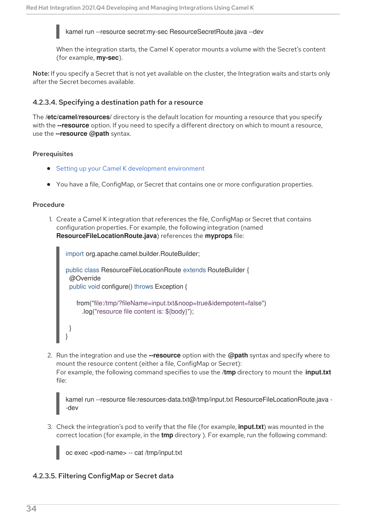kamel run --resource secret:my-sec ResourceSecretRoute.java --dev

When the integration starts, the Camel K operator mounts a volume with the Secret's content (for example, **my-sec**).

Note: If you specify a Secret that is not yet available on the cluster, the Integration waits and starts only after the Secret becomes available.

## 4.2.3.4. Specifying a destination path for a resource

The **/etc/camel/resources/** directory is the default location for mounting a resource that you specify with the **--resource** option. If you need to specify a different directory on which to mount a resource, use the **--resource @path** syntax.

#### **Prerequisites**

- **Setting up your Camel K [development](https://access.redhat.com/documentation/en-us/red_hat_integration/2021.Q4/html-single/getting_started_with_camel_k#setting-up-environment) environment**
- You have a file, ConfigMap, or Secret that contains one or more configuration properties.

#### Procedure

1. Create a Camel K integration that references the file, ConfigMap or Secret that contains configuration properties. For example, the following integration (named **ResourceFileLocationRoute.java**) references the **myprops** file:

```
import org.apache.camel.builder.RouteBuilder;
public class ResourceFileLocationRoute extends RouteBuilder {
 @Override
 public void configure() throws Exception {
    from("file:/tmp/?fileName=input.txt&noop=true&idempotent=false")
     .log("resource file content is: ${body}");
 }
}
```
2. Run the integration and use the **--resource** option with the **@path** syntax and specify where to mount the resource content (either a file, ConfigMap or Secret): For example, the following command specifies to use the **/tmp** directory to mount the **input.txt** file:

kamel run --resource file:resources-data.txt@/tmp/input.txt ResourceFileLocationRoute.java - -dev

3. Check the integration's pod to verify that the file (for example, **input.txt**) was mounted in the correct location (for example, in the **tmp** directory ). For example, run the following command:



oc exec <pod-name> -- cat /tmp/input.txt

## 4.2.3.5. Filtering ConfigMap or Secret data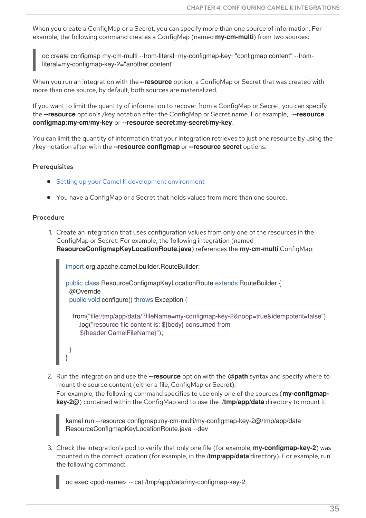When you create a ConfigMap or a Secret, you can specify more than one source of information. For example, the following command creates a ConfigMap (named **my-cm-multi**) from two sources:

oc create configmap my-cm-multi --from-literal=my-configmap-key="configmap content" --fromliteral=my-configmap-key-2="another content"

When you run an integration with the **--resource** option, a ConfigMap or Secret that was created with more than one source, by default, both sources are materialized.

If you want to limit the quantity of information to recover from a ConfigMap or Secret, you can specify the **--resource** option's /key notation after the ConfigMap or Secret name. For example, **--resource configmap:my-cm/my-key** or **--resource secret:my-secret/my-key**.

You can limit the quantity of information that your integration retrieves to just one resource by using the /key notation after with the **--resource configmap** or **--resource secret** options.

#### Prerequisites

- **•** Setting up your Camel K [development](https://access.redhat.com/documentation/en-us/red_hat_integration/2021.Q4/html-single/getting_started_with_camel_k#setting-up-environment) environment
- You have a ConfigMap or a Secret that holds values from more than one source.

#### Procedure

1. Create an integration that uses configuration values from only one of the resources in the ConfigMap or Secret. For example, the following integration (named **ResourceConfigmapKeyLocationRoute.java**) references the **my-cm-multi** ConfigMap:

import org.apache.camel.builder.RouteBuilder;

public class ResourceConfigmapKeyLocationRoute extends RouteBuilder { @Override public void configure() throws Exception {

from("file:/tmp/app/data/?fileName=my-configmap-key-2&noop=true&idempotent=false") .log("resource file content is: \${body} consumed from \${header.CamelFileName}");

- } }
- 2. Run the integration and use the **--resource** option with the **@path** syntax and specify where to mount the source content (either a file, ConfigMap or Secret): For example, the following command specifies to use only one of the sources (**my-configmapkey-2@**) contained within the ConfigMap and to use the **/tmp/app/data** directory to mount it:

kamel run --resource configmap:my-cm-multi/my-configmap-key-2@/tmp/app/data ResourceConfigmapKeyLocationRoute.java --dev

3. Check the integration's pod to verify that only one file (for example, **my-configmap-key-2**) was mounted in the correct location (for example, in the **/tmp/app/data** directory). For example, run the following command:

oc exec <pod-name> -- cat /tmp/app/data/my-configmap-key-2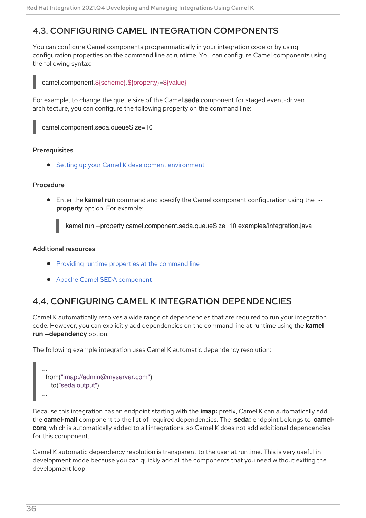# 4.3. CONFIGURING CAMEL INTEGRATION COMPONENTS

You can configure Camel components programmatically in your integration code or by using configuration properties on the command line at runtime. You can configure Camel components using the following syntax:

#### camel.component.\${scheme}.\${property}=\${value}

For example, to change the queue size of the Camel **seda** component for staged event-driven architecture, you can configure the following property on the command line:

camel.component.seda.queueSize=10

#### Prerequisites

● Setting up your Camel K [development](https://access.redhat.com/documentation/en-us/red_hat_integration/2021.Q4/html-single/getting_started_with_camel_k#setting-up-environment) environment

#### Procedure

Enter the **kamel run** command and specify the Camel component configuration using the **- property** option. For example:

kamel run --property camel.component.seda.queueSize=10 examples/Integration.java

#### Additional resources

- Providing runtime [properties](https://access.redhat.com/documentation/en-us/red_hat_integration/2021.Q4/html-single/developing_and_managing_integrations_using_camel_k#providing-runtime-properties-command-line) at the command line
- Apache Camel SEDA [component](https://camel.apache.org/components/latest/seda-component.html)

## 4.4. CONFIGURING CAMEL K INTEGRATION DEPENDENCIES

Camel K automatically resolves a wide range of dependencies that are required to run your integration code. However, you can explicitly add dependencies on the command line at runtime using the **kamel run --dependency** option.

The following example integration uses Camel K automatic dependency resolution:

```
...
from("imap://admin@myserver.com")
  .to("seda:output")
...
```
Because this integration has an endpoint starting with the **imap:** prefix, Camel K can automatically add the **camel-mail** component to the list of required dependencies. The **seda:** endpoint belongs to **camelcore**, which is automatically added to all integrations, so Camel K does not add additional dependencies for this component.

Camel K automatic dependency resolution is transparent to the user at runtime. This is very useful in development mode because you can quickly add all the components that you need without exiting the development loop.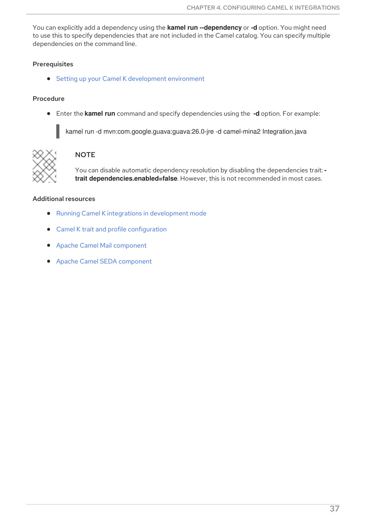You can explicitly add a dependency using the **kamel run --dependency** or **-d** option. You might need to use this to specify dependencies that are not included in the Camel catalog. You can specify multiple dependencies on the command line.

## Prerequisites

**•** Setting up your Camel K [development](https://access.redhat.com/documentation/en-us/red_hat_integration/2021.Q4/html-single/getting_started_with_camel_k#setting-up-environment) environment

#### Procedure

Enter the **kamel run** command and specify dependencies using the **-d** option. For example:

kamel run -d mvn:com.google.guava:guava:26.0-jre -d camel-mina2 Integration.java



## **NOTE**

You can disable automatic dependency resolution by disabling the dependencies trait:  **trait dependencies.enabled=false**. However, this is not recommended in most cases.

#### Additional resources

- Running Camel K integrations in [development](https://access.redhat.com/documentation/en-us/red_hat_integration/2021.Q4/html-single/getting_started_with_camel_k#running-camel-k-integrations-dev-mode) mode
- Camel K trait and profile [configuration](https://access.redhat.com/documentation/en-us/red_hat_integration/2021.Q4/html-single/developing_and_managing_integrations_using_camel_k#camel-k-traits)
- Apache Camel Mail [component](https://camel.apache.org/components/latest/mail-component.html)
- Apache Camel SEDA [component](https://camel.apache.org/components/latest/seda-component.html)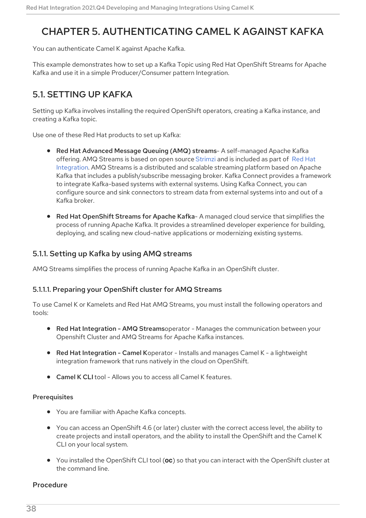# CHAPTER 5. AUTHENTICATING CAMEL K AGAINST KAFKA

You can authenticate Camel K against Apache Kafka.

This example demonstrates how to set up a Kafka Topic using Red Hat OpenShift Streams for Apache Kafka and use it in a simple Producer/Consumer pattern Integration.

# 5.1. SETTING UP KAFKA

Setting up Kafka involves installing the required OpenShift operators, creating a Kafka instance, and creating a Kafka topic.

Use one of these Red Hat products to set up Kafka:

- Red Hat Advanced Message Queuing (AMQ) streams- A self-managed Apache Kafka offering. AMQ Streams is based on open source [Strimzi](https://strimzi.io) and is included as part of Red Hat [Integration.](https://www.redhat.com/en/products/integration) AMQ Streams is a distributed and scalable streaming platform based on Apache Kafka that includes a publish/subscribe messaging broker. Kafka Connect provides a framework to integrate Kafka-based systems with external systems. Using Kafka Connect, you can configure source and sink connectors to stream data from external systems into and out of a Kafka broker.
- Red Hat OpenShift Streams for Apache Kafka- A managed cloud service that simplifies the process of running Apache Kafka. It provides a streamlined developer experience for building, deploying, and scaling new cloud-native applications or modernizing existing systems.

## 5.1.1. Setting up Kafka by using AMQ streams

AMQ Streams simplifies the process of running Apache Kafka in an OpenShift cluster.

## 5.1.1.1. Preparing your OpenShift cluster for AMQ Streams

To use Camel K or Kamelets and Red Hat AMQ Streams, you must install the following operators and tools:

- Red Hat Integration AMQ Streamsoperator Manages the communication between your Openshift Cluster and AMQ Streams for Apache Kafka instances.
- Red Hat Integration Camel Koperator Installs and manages Camel K a lightweight integration framework that runs natively in the cloud on OpenShift.
- Camel K CLItool Allows you to access all Camel K features.

#### **Prerequisites**

- You are familiar with Apache Kafka concepts.
- You can access an OpenShift 4.6 (or later) cluster with the correct access level, the ability to create projects and install operators, and the ability to install the OpenShift and the Camel K CLI on your local system.
- You installed the OpenShift CLI tool (**oc**) so that you can interact with the OpenShift cluster at the command line.

#### Procedure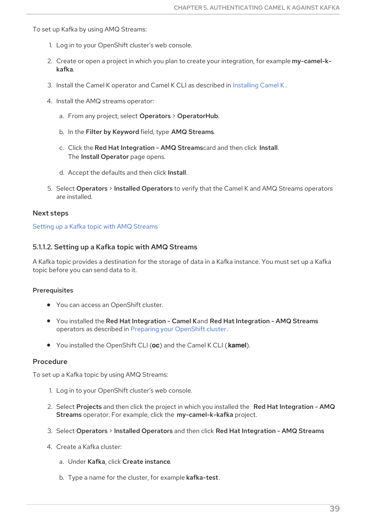To set up Kafka by using AMQ Streams:

- 1. Log in to your OpenShift cluster's web console.
- 2. Create or open a project in which you plan to create your integration, for example my-camel-kkafka.
- 3. Install the Camel K operator and Camel K CLI as described in [Installing](https://access.redhat.com/documentation/en-us/red_hat_integration/2021.Q4/html-single/getting_started_with_camel_k#installing-camel-k) Camel K .
- 4. Install the AMQ streams operator:
	- a. From any project, select Operators > OperatorHub.
	- b. In the Filter by Keyword field, type AMQ Streams.
	- c. Click the Red Hat Integration AMQ Streamscard and then click Install. The Install Operator page opens.
	- d. Accept the defaults and then click Install.
- 5. Select Operators > Installed Operators to verify that the Camel K and AMQ Streams operators are installed.

#### Next steps

Setting up a Kafka topic with AMQ [Streams](https://access.redhat.com/documentation/en-us/red_hat_integration/2021.q4/html-single/integrating_applications_with_kamelets#setting-up-kafka-topic-with-amq-streams)

#### 5.1.1.2. Setting up a Kafka topic with AMQ Streams

A Kafka topic provides a destination for the storage of data in a Kafka instance. You must set up a Kafka topic before you can send data to it.

#### **Prerequisites**

- You can access an OpenShift cluster.
- You installed the Red Hat Integration Camel Kand Red Hat Integration AMQ Streams operators as described in Preparing your [OpenShift](https://access.redhat.com/documentation/en-us/red_hat_integration/2021.q4/html-single/integrating_applications_with_kamelets#preparing-cluster-kafka-openshift-streams) cluster.
- You installed the OpenShift CLI (**oc**) and the Camel K CLI ( **kamel**).

#### Procedure

To set up a Kafka topic by using AMQ Streams:

- 1. Log in to your OpenShift cluster's web console.
- 2. Select Projects and then click the project in which you installed the Red Hat Integration AMQ Streams operator. For example, click the my-camel-k-kafka project.
- 3. Select Operators > Installed Operators and then click Red Hat Integration AMQ Streams.
- 4. Create a Kafka cluster:
	- a. Under Kafka, click Create instance.
	- b. Type a name for the cluster, for example kafka-test.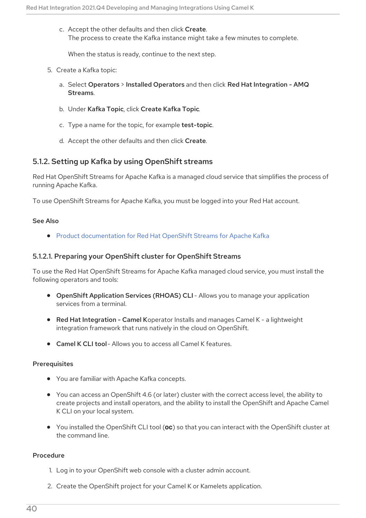c. Accept the other defaults and then click Create. The process to create the Kafka instance might take a few minutes to complete.

When the status is ready, continue to the next step.

- 5. Create a Kafka topic:
	- a. Select Operators > Installed Operators and then click Red Hat Integration AMQ Streams.
	- b. Under Kafka Topic, click Create Kafka Topic.
	- c. Type a name for the topic, for example test-topic.
	- d. Accept the other defaults and then click Create.

## 5.1.2. Setting up Kafka by using OpenShift streams

Red Hat OpenShift Streams for Apache Kafka is a managed cloud service that simplifies the process of running Apache Kafka.

To use OpenShift Streams for Apache Kafka, you must be logged into your Red Hat account.

#### See Also

**• Product [documentation](https://access.redhat.com/documentation/en-us/red_hat_openshift_streams_for_apache_kafka) for Red Hat OpenShift Streams for Apache Kafka** 

#### 5.1.2.1. Preparing your OpenShift cluster for OpenShift Streams

To use the Red Hat OpenShift Streams for Apache Kafka managed cloud service, you must install the following operators and tools:

- OpenShift Application Services (RHOAS) CLI Allows you to manage your application services from a terminal.
- Red Hat Integration Camel Koperator Installs and manages Camel K a lightweight integration framework that runs natively in the cloud on OpenShift.
- Camel K CLI tool- Allows you to access all Camel K features.

#### **Prerequisites**

- You are familiar with Apache Kafka concepts.
- You can access an OpenShift 4.6 (or later) cluster with the correct access level, the ability to create projects and install operators, and the ability to install the OpenShift and Apache Camel K CLI on your local system.
- You installed the OpenShift CLI tool (**oc**) so that you can interact with the OpenShift cluster at the command line.

#### Procedure

- 1. Log in to your OpenShift web console with a cluster admin account.
- 2. Create the OpenShift project for your Camel K or Kamelets application.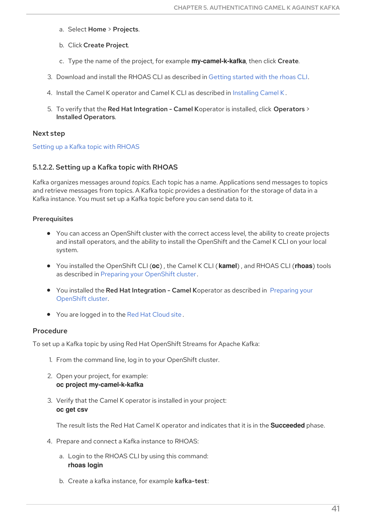- a. Select Home > Projects.
- b. Click Create Project.
- c. Type the name of the project, for example **my-camel-k-kafka**, then click Create.
- 3. Download and install the RHOAS CLI as described in [Getting](https://access.redhat.com/documentation/en-us/red_hat_openshift_streams_for_apache_kafka/1/guide/f520e427-cad2-40ce-823d-96234ccbc047#_8818f0d5-ae20-42c8-9622-a98e663ff1a8) started with the rhoas CLI.
- 4. Install the Camel K operator and Camel K CLI as described in [Installing](https://access.redhat.com/documentation/en-us/red_hat_integration/2021.Q4/html-single/getting_started_with_camel_k#installing-camel-k) Camel K .
- 5. To verify that the Red Hat Integration Camel Koperator is installed, click Operators > Installed Operators.

## Next step

#### Setting up a Kafka topic with [RHOAS](https://access.redhat.com/documentation/en-us/red_hat_integration/2021.q4/html-single/integrating_applications_with_kamelets#setting-up-kafka-topic-with-rhoas)

## 5.1.2.2. Setting up a Kafka topic with RHOAS

Kafka organizes messages around *topics*. Each topic has a name. Applications send messages to topics and retrieve messages from topics. A Kafka topic provides a destination for the storage of data in a Kafka instance. You must set up a Kafka topic before you can send data to it.

#### Prerequisites

- You can access an OpenShift cluster with the correct access level, the ability to create projects and install operators, and the ability to install the OpenShift and the Camel K CLI on your local system.
- You installed the OpenShift CLI (**oc**) , the Camel K CLI (**kamel**) , and RHOAS CLI (**rhoas**) tools as described in Preparing your [OpenShift](https://access.redhat.com/documentation/en-us/red_hat_integration/2021.q4/html-single/integrating_applications_with_kamelets#preparing-cluster-kafka-openshift-streams) cluster.
- You installed the Red Hat [Integration](https://access.redhat.com/documentation/en-us/red_hat_integration/2021.q4/html-single/integrating_applications_with_kamelets#preparing-cluster-kafka-openshift-streams) Camel Koperator as described in Preparing your OpenShift cluster.
- You are logged in to the Red Hat [Cloud](https://cloud.redhat.com/application-services/streams/kafkas) site .

## Procedure

To set up a Kafka topic by using Red Hat OpenShift Streams for Apache Kafka:

- 1. From the command line, log in to your OpenShift cluster.
- 2. Open your project, for example: **oc project my-camel-k-kafka**
- 3. Verify that the Camel K operator is installed in your project: **oc get csv**

The result lists the Red Hat Camel K operator and indicates that it is in the **Succeeded** phase.

- 4. Prepare and connect a Kafka instance to RHOAS:
	- a. Login to the RHOAS CLI by using this command: **rhoas login**
	- b. Create a kafka instance, for example kafka-test: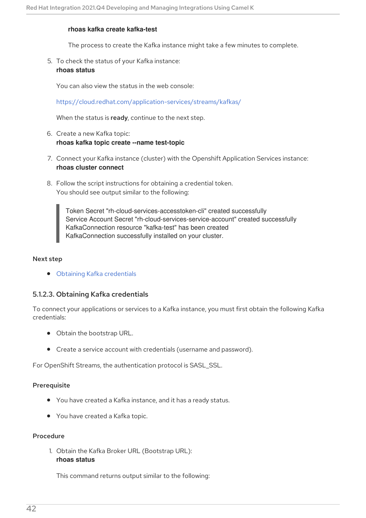#### **rhoas kafka create kafka-test**

The process to create the Kafka instance might take a few minutes to complete.

5. To check the status of your Kafka instance: **rhoas status**

You can also view the status in the web console:

<https://cloud.redhat.com/application-services/streams/kafkas/>

When the status is ready, continue to the next step.

- 6. Create a new Kafka topic: **rhoas kafka topic create --name test-topic**
- 7. Connect your Kafka instance (cluster) with the Openshift Application Services instance: **rhoas cluster connect**
- 8. Follow the script instructions for obtaining a credential token. You should see output similar to the following:

Token Secret "rh-cloud-services-accesstoken-cli" created successfully Service Account Secret "rh-cloud-services-service-account" created successfully KafkaConnection resource "kafka-test" has been created KafkaConnection successfully installed on your cluster.

#### Next step

Obtaining Kafka [credentials](https://access.redhat.com/documentation/en-us/red_hat_integration/2021.q4/html-single/integrating_applications_with_kamelets#obtaining-kafka-credentials)

#### 5.1.2.3. Obtaining Kafka credentials

To connect your applications or services to a Kafka instance, you must first obtain the following Kafka credentials:

- Obtain the bootstrap URL.
- Create a service account with credentials (username and password).

For OpenShift Streams, the authentication protocol is SASL\_SSL.

#### **Prerequisite**

- You have created a Kafka instance, and it has a ready status.
- You have created a Kafka topic.

#### Procedure

1. Obtain the Kafka Broker URL (Bootstrap URL): **rhoas status**

This command returns output similar to the following: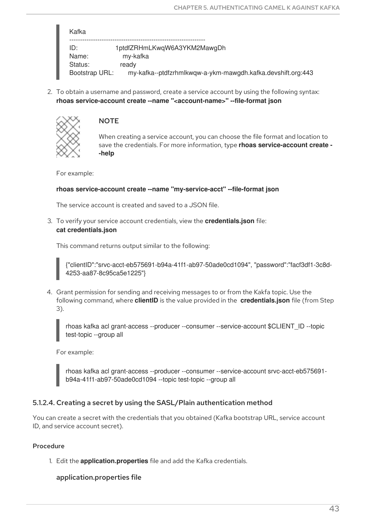| Kafka          |                                                             |
|----------------|-------------------------------------------------------------|
| ID:            | 1ptdfZRHmLKwqW6A3YKM2MawgDh                                 |
| Name:          | my-kafka                                                    |
| Status:        | readv                                                       |
| Bootstrap URL: | my-kafka--ptdfzrhmlkwqw-a-ykm-mawgdh.kafka.devshift.org:443 |

2. To obtain a username and password, create a service account by using the following syntax: **rhoas service-account create --name "<account-name>" --file-format json**



#### **NOTE**

When creating a service account, you can choose the file format and location to save the credentials. For more information, type **rhoas service-account create - -help**

For example:

#### **rhoas service-account create --name "my-service-acct" --file-format json**

The service account is created and saved to a JSON file.

3. To verify your service account credentials, view the **credentials.json** file: **cat credentials.json**

This command returns output similar to the following:

{"clientID":"srvc-acct-eb575691-b94a-41f1-ab97-50ade0cd1094", "password":"facf3df1-3c8d-4253-aa87-8c95ca5e1225"}

4. Grant permission for sending and receiving messages to or from the Kakfa topic. Use the following command, where **clientID** is the value provided in the **credentials.json** file (from Step 3).

rhoas kafka acl grant-access --producer --consumer --service-account \$CLIENT\_ID --topic test-topic --group all

For example:

rhoas kafka acl grant-access --producer --consumer --service-account srvc-acct-eb575691 b94a-41f1-ab97-50ade0cd1094 --topic test-topic --group all

## 5.1.2.4. Creating a secret by using the SASL/Plain authentication method

You can create a secret with the credentials that you obtained (Kafka bootstrap URL, service account ID, and service account secret).

## Procedure

1. Edit the **application.properties** file and add the Kafka credentials.

application.properties file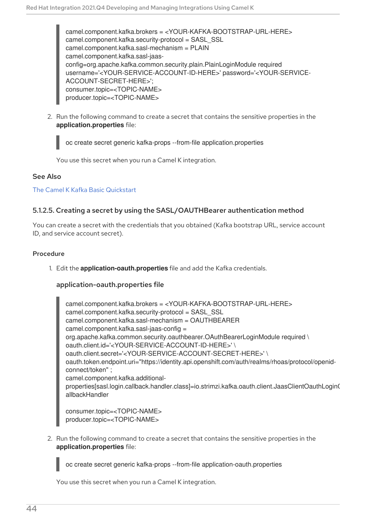camel.component.kafka.brokers = <YOUR-KAFKA-BOOTSTRAP-URL-HERE> camel.component.kafka.security-protocol = SASL\_SSL camel.component.kafka.sasl-mechanism = PLAIN camel.component.kafka.sasl-jaasconfig=org.apache.kafka.common.security.plain.PlainLoginModule required username='<YOUR-SERVICE-ACCOUNT-ID-HERE>' password='<YOUR-SERVICE-ACCOUNT-SECRET-HERE>'; consumer.topic=<TOPIC-NAME> producer.topic=<TOPIC-NAME>

2. Run the following command to create a secret that contains the sensitive properties in the **application.properties** file:

oc create secret generic kafka-props --from-file application.properties

You use this secret when you run a Camel K integration.

#### See Also

The Camel K Kafka Basic [Quickstart](https://github.com/openshift-integration/camel-k-example-kafka/tree/1.6.x/basic#3-running-a-kafka-producer-integration)

#### 5.1.2.5. Creating a secret by using the SASL/OAUTHBearer authentication method

You can create a secret with the credentials that you obtained (Kafka bootstrap URL, service account ID, and service account secret).

#### Procedure

1. Edit the **application-oauth.properties** file and add the Kafka credentials.

#### application-oauth.properties file

camel.component.kafka.brokers = <YOUR-KAFKA-BOOTSTRAP-URL-HERE> camel.component.kafka.security-protocol = SASL\_SSL camel.component.kafka.sasl-mechanism = OAUTHBEARER camel.component.kafka.sasl-jaas-config = org.apache.kafka.common.security.oauthbearer.OAuthBearerLoginModule required \ oauth.client.id='<YOUR-SERVICE-ACCOUNT-ID-HERE>' \ oauth.client.secret='<YOUR-SERVICE-ACCOUNT-SECRET-HERE>' \ oauth.token.endpoint.uri="https://identity.api.openshift.com/auth/realms/rhoas/protocol/openidconnect/token" ; camel.component.kafka.additionalproperties[sasl.login.callback.handler.class]=io.strimzi.kafka.oauth.client.JaasClientOauthLoginC allbackHandler

consumer.topic=<TOPIC-NAME> producer.topic=<TOPIC-NAME>

2. Run the following command to create a secret that contains the sensitive properties in the **application.properties** file:

oc create secret generic kafka-props --from-file application-oauth.properties

You use this secret when you run a Camel K integration.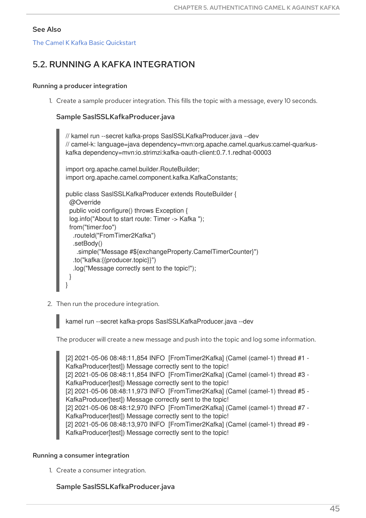#### See Also

```
The Camel K Kafka Basic Quickstart
```
# 5.2. RUNNING A KAFKA INTEGRATION

#### Running a producer integration

1. Create a sample producer integration. This fills the topic with a message, every 10 seconds.

## Sample SaslSSLKafkaProducer.java

// kamel run --secret kafka-props SaslSSLKafkaProducer.java --dev // camel-k: language=java dependency=mvn:org.apache.camel.quarkus:camel-quarkuskafka dependency=mvn:io.strimzi:kafka-oauth-client:0.7.1.redhat-00003 import org.apache.camel.builder.RouteBuilder; import org.apache.camel.component.kafka.KafkaConstants; public class SaslSSLKafkaProducer extends RouteBuilder { @Override public void configure() throws Exception { log.info("About to start route: Timer -> Kafka "); from("timer:foo") .routeId("FromTimer2Kafka") .setBody() .simple("Message #\${exchangeProperty.CamelTimerCounter}") .to("kafka:{{producer.topic}}") .log("Message correctly sent to the topic!"); } }

2. Then run the procedure integration.

kamel run --secret kafka-props SaslSSLKafkaProducer.java --dev

The producer will create a new message and push into the topic and log some information.

[2] 2021-05-06 08:48:11,854 INFO [FromTimer2Kafka] (Camel (camel-1) thread #1 - KafkaProducer[test]) Message correctly sent to the topic! [2] 2021-05-06 08:48:11,854 INFO [FromTimer2Kafka] (Camel (camel-1) thread #3 - KafkaProducer[test]) Message correctly sent to the topic! [2] 2021-05-06 08:48:11,973 INFO [FromTimer2Kafka] (Camel (camel-1) thread #5 - KafkaProducer[test]) Message correctly sent to the topic! [2] 2021-05-06 08:48:12,970 INFO [FromTimer2Kafka] (Camel (camel-1) thread #7 - KafkaProducer[test]) Message correctly sent to the topic! [2] 2021-05-06 08:48:13,970 INFO [FromTimer2Kafka] (Camel (camel-1) thread #9 - KafkaProducer[test]) Message correctly sent to the topic!

## Running a consumer integration

1. Create a consumer integration.

Sample SaslSSLKafkaProducer.java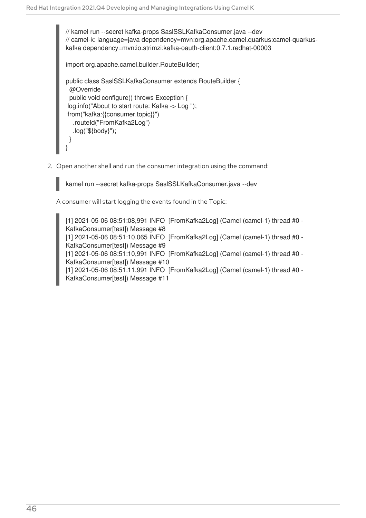```
// kamel run --secret kafka-props SaslSSLKafkaConsumer.java --dev
// camel-k: language=java dependency=mvn:org.apache.camel.quarkus:camel-quarkus-
kafka dependency=mvn:io.strimzi:kafka-oauth-client:0.7.1.redhat-00003
import org.apache.camel.builder.RouteBuilder;
public class SaslSSLKafkaConsumer extends RouteBuilder {
 @Override
 public void configure() throws Exception {
log.info("About to start route: Kafka -> Log ");
from("kafka:{{consumer.topic}}")
  .routeId("FromKafka2Log")
  .log("${body}");
 }
}
```
2. Open another shell and run the consumer integration using the command:

kamel run --secret kafka-props SaslSSLKafkaConsumer.java --dev

A consumer will start logging the events found in the Topic:

[1] 2021-05-06 08:51:08,991 INFO [FromKafka2Log] (Camel (camel-1) thread #0 - KafkaConsumer[test]) Message #8 [1] 2021-05-06 08:51:10,065 INFO [FromKafka2Log] (Camel (camel-1) thread #0 - KafkaConsumer[test]) Message #9 [1] 2021-05-06 08:51:10,991 INFO [FromKafka2Log] (Camel (camel-1) thread #0 -KafkaConsumer[test]) Message #10 [1] 2021-05-06 08:51:11,991 INFO [FromKafka2Log] (Camel (camel-1) thread #0 - KafkaConsumer[test]) Message #11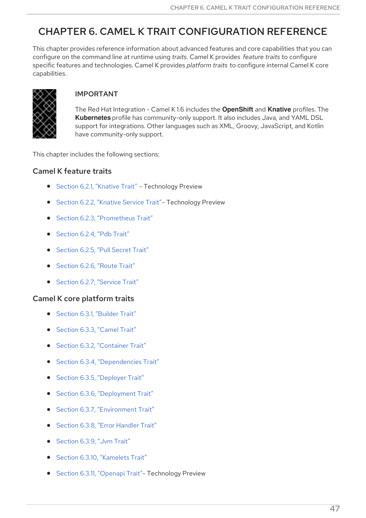# CHAPTER 6. CAMEL K TRAIT CONFIGURATION REFERENCE

This chapter provides reference information about advanced features and core capabilities that you can configure on the command line at runtime using *traits*. Camel K provides *feature traits* to configure specific features and technologies. Camel K provides *platform traits* to configure internal Camel K core capabilities.



## IMPORTANT

The Red Hat Integration - Camel K 1.6 includes the **OpenShift** and **Knative** profiles. The **Kubernetes** profile has community-only support. It also includes Java, and YAML DSL support for integrations. Other languages such as XML, Groovy, JavaScript, and Kotlin have community-only support.

This chapter includes the following sections:

## Camel K feature traits

- **•** Section 6.2.1, ["Knative](#page-52-0) Trait" Technology Preview
- Section 6.2.2, ["Knative](#page-54-0) Service Trait"- Technology Preview
- Section 6.2.3, ["Prometheus](#page-55-0) Trait"
- [Section](#page-55-1) 6.2.4, "Pdb Trait"
- [Section](#page-56-0) 6.2.5, "Pull Secret Trait"
- [Section](#page-59-0) 6.2.6, "Route Trait"
- Section 6.2.7, ["Service](#page-61-0) Trait"

## Camel K core platform traits

- Section 6.3.1, ["Builder](#page-61-1) Trait"
- [Section](#page-64-0) 6.3.3, "Camel Trait"
- Section 6.3.2, ["Container](#page-63-0) Trait"
- Section 6.3.4, ["Dependencies](#page-65-0) Trait"
- Section 6.3.5, ["Deployer](#page-65-1) Trait"
- Section 6.3.6, ["Deployment](#page-66-0) Trait"
- Section 6.3.7, ["Environment](#page-67-0) Trait"
- Section 6.3.8, "Error [Handler](#page-67-1) Trait"
- [Section](#page-68-0) 6.3.9, "Jvm Trait"
- Section 6.3.10, ["Kamelets](#page-69-0) Trait"
- Section 6.3.11, ["Openapi](#page-69-1) Trait" Technology Preview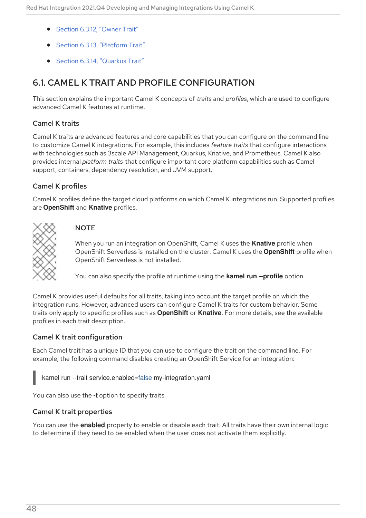- [Section](#page-70-0) 6.3.12, "Owner Trait"
- Section 6.3.13, ["Platform](#page-71-0) Trait"
- Section 6.3.14, ["Quarkus](#page-72-0) Trait"

## 6.1. CAMEL K TRAIT AND PROFILE CONFIGURATION

This section explains the important Camel K concepts of *traits* and *profiles*, which are used to configure advanced Camel K features at runtime.

## Camel K traits

Camel K traits are advanced features and core capabilities that you can configure on the command line to customize Camel K integrations. For example, this includes *feature traits* that configure interactions with technologies such as 3scale API Management, Quarkus, Knative, and Prometheus. Camel K also provides internal *platform traits* that configure important core platform capabilities such as Camel support, containers, dependency resolution, and JVM support.

## Camel K profiles

Camel K profiles define the target cloud platforms on which Camel K integrations run. Supported profiles are **OpenShift** and **Knative** profiles.



## **NOTE**

When you run an integration on OpenShift, Camel K uses the **Knative** profile when OpenShift Serverless is installed on the cluster. Camel K uses the **OpenShift** profile when OpenShift Serverless is not installed.

You can also specify the profile at runtime using the **kamel run --profile** option.

Camel K provides useful defaults for all traits, taking into account the target profile on which the integration runs. However, advanced users can configure Camel K traits for custom behavior. Some traits only apply to specific profiles such as **OpenShift** or **Knative**. For more details, see the available profiles in each trait description.

## Camel K trait configuration

Each Camel trait has a unique ID that you can use to configure the trait on the command line. For example, the following command disables creating an OpenShift Service for an integration:

kamel run --trait service.enabled=false my-integration.yaml

You can also use the **-t** option to specify traits.

## Camel K trait properties

You can use the **enabled** property to enable or disable each trait. All traits have their own internal logic to determine if they need to be enabled when the user does not activate them explicitly.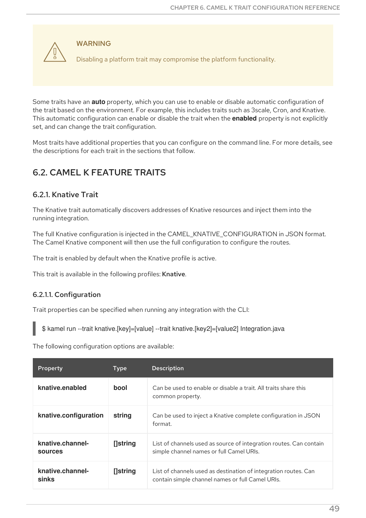# WARNING

Disabling a platform trait may compromise the platform functionality.

Some traits have an **auto** property, which you can use to enable or disable automatic configuration of the trait based on the environment. For example, this includes traits such as 3scale, Cron, and Knative. This automatic configuration can enable or disable the trait when the **enabled** property is not explicitly set, and can change the trait configuration.

Most traits have additional properties that you can configure on the command line. For more details, see the descriptions for each trait in the sections that follow.

# 6.2. CAMEL K FEATURE TRAITS

## <span id="page-52-0"></span>6.2.1. Knative Trait

The Knative trait automatically discovers addresses of Knative resources and inject them into the running integration.

The full Knative configuration is injected in the CAMEL\_KNATIVE\_CONFIGURATION in JSON format. The Camel Knative component will then use the full configuration to configure the routes.

The trait is enabled by default when the Knative profile is active.

This trait is available in the following profiles: Knative.

## 6.2.1.1. Configuration

Trait properties can be specified when running any integration with the CLI:

\$ kamel run --trait knative.[key]=[value] --trait knative.[key2]=[value2] Integration.java

| Property                           | <b>Type</b>     | <b>Description</b>                                                                                                  |
|------------------------------------|-----------------|---------------------------------------------------------------------------------------------------------------------|
| knative.enabled                    | bool            | Can be used to enable or disable a trait. All traits share this<br>common property.                                 |
| knative.configuration              | string          | Can be used to inject a Knative complete configuration in JSON<br>format.                                           |
| knative.channel-<br><b>sources</b> | <b>N</b> string | List of channels used as source of integration routes. Can contain<br>simple channel names or full Camel URIs.      |
| knative.channel-<br>sinks          | []string        | List of channels used as destination of integration routes. Can<br>contain simple channel names or full Camel URIs. |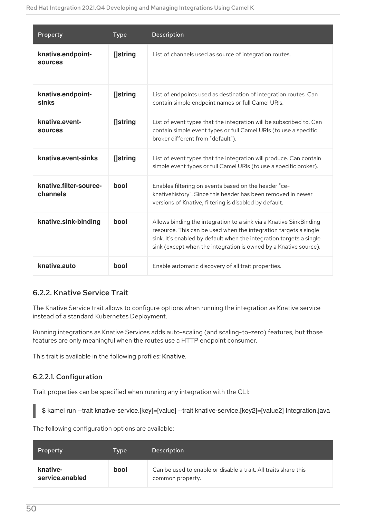| Property                            | <b>Type</b> | Description                                                                                                                                                                                                                                                                       |
|-------------------------------------|-------------|-----------------------------------------------------------------------------------------------------------------------------------------------------------------------------------------------------------------------------------------------------------------------------------|
| knative.endpoint-<br><b>SOUrces</b> | []string    | List of channels used as source of integration routes.                                                                                                                                                                                                                            |
| knative.endpoint-<br>sinks          | []string    | List of endpoints used as destination of integration routes. Can<br>contain simple endpoint names or full Camel URIs.                                                                                                                                                             |
| knative.event-<br><b>sources</b>    | []string    | List of event types that the integration will be subscribed to. Can<br>contain simple event types or full Camel URIs (to use a specific<br>broker different from "default").                                                                                                      |
| knative.event-sinks                 | []string    | List of event types that the integration will produce. Can contain<br>simple event types or full Camel URIs (to use a specific broker).                                                                                                                                           |
| knative.filter-source-<br>channels  | bool        | Enables filtering on events based on the header "ce-<br>knativehistory". Since this header has been removed in newer<br>versions of Knative, filtering is disabled by default.                                                                                                    |
| knative.sink-binding                | bool        | Allows binding the integration to a sink via a Knative SinkBinding<br>resource. This can be used when the integration targets a single<br>sink. It's enabled by default when the integration targets a single<br>sink (except when the integration is owned by a Knative source). |
| knative.auto                        | bool        | Enable automatic discovery of all trait properties.                                                                                                                                                                                                                               |

## 6.2.2. Knative Service Trait

The Knative Service trait allows to configure options when running the integration as Knative service instead of a standard Kubernetes Deployment.

Running integrations as Knative Services adds auto-scaling (and scaling-to-zero) features, but those features are only meaningful when the routes use a HTTP endpoint consumer.

This trait is available in the following profiles: Knative.

## 6.2.2.1. Configuration

Trait properties can be specified when running any integration with the CLI:

\$ kamel run --trait knative-service.[key]=[value] --trait knative-service.[key2]=[value2] Integration.java

| <b>Property</b>             | Type | <b>Description</b>                                                                  |
|-----------------------------|------|-------------------------------------------------------------------------------------|
| knative-<br>service.enabled | bool | Can be used to enable or disable a trait. All traits share this<br>common property. |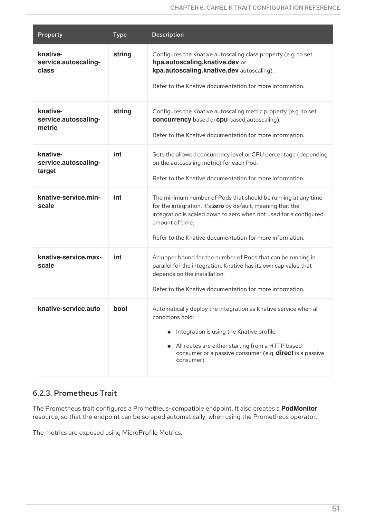<span id="page-54-0"></span>

| Property                                   | <b>Type</b> | Description                                                                                                                                                                                                                                                                      |
|--------------------------------------------|-------------|----------------------------------------------------------------------------------------------------------------------------------------------------------------------------------------------------------------------------------------------------------------------------------|
| knative-<br>service.autoscaling-<br>class  | string      | Configures the Knative autoscaling class property (e.g. to set<br>hpa.autoscaling.knative.dev or<br>kpa.autoscaling.knative.dev autoscaling).<br>Refer to the Knative documentation for more information.                                                                        |
| knative-<br>service.autoscaling-<br>metric | string      | Configures the Knative autoscaling metric property (e.g. to set<br>concurrency based or cpu based autoscaling).<br>Refer to the Knative documentation for more information.                                                                                                      |
| knative-<br>service.autoscaling-<br>target | int         | Sets the allowed concurrency level or CPU percentage (depending<br>on the autoscaling metric) for each Pod.<br>Refer to the Knative documentation for more information.                                                                                                          |
| knative-service.min-<br>scale              | int         | The minimum number of Pods that should be running at any time<br>for the integration. It's zero by default, meaning that the<br>integration is scaled down to zero when not used for a configured<br>amount of time.<br>Refer to the Knative documentation for more information. |
| knative-service.max-<br>scale              | int         | An upper bound for the number of Pods that can be running in<br>parallel for the integration. Knative has its own cap value that<br>depends on the installation.<br>Refer to the Knative documentation for more information.                                                     |
| knative-service.auto                       | bool        | Automatically deploy the integration as Knative service when all<br>conditions hold:<br>Integration is using the Knative profile<br>All routes are either starting from a HTTP based<br>consumer or a passive consumer (e.g. <b>direct</b> is a passive<br>consumer)             |

## 6.2.3. Prometheus Trait

The Prometheus trait configures a Prometheus-compatible endpoint. It also creates a **PodMonitor** resource, so that the endpoint can be scraped automatically, when using the Prometheus operator.

The metrics are exposed using MicroProfile Metrics.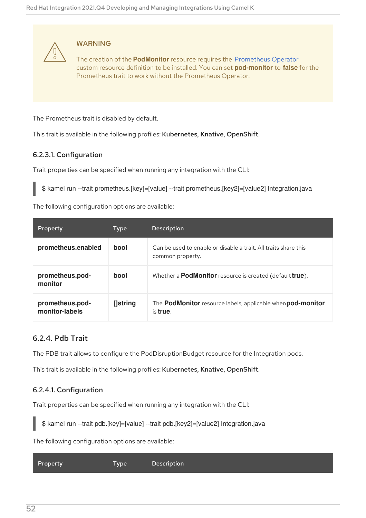<span id="page-55-0"></span>

## WARNING

The creation of the **PodMonitor** resource requires the [Prometheus](https://github.com/coreos/prometheus-operator) Operator custom resource definition to be installed. You can set **pod-monitor** to **false** for the Prometheus trait to work without the Prometheus Operator.

The Prometheus trait is disabled by default.

This trait is available in the following profiles: Kubernetes, Knative, OpenShift.

## 6.2.3.1. Configuration

Trait properties can be specified when running any integration with the CLI:

\$ kamel run --trait prometheus.[key]=[value] --trait prometheus.[key2]=[value2] Integration.java

The following configuration options are available:

| <b>Property</b>                   | Type     | <b>Description</b>                                                                  |
|-----------------------------------|----------|-------------------------------------------------------------------------------------|
| prometheus.enabled                | bool     | Can be used to enable or disable a trait. All traits share this<br>common property. |
| prometheus.pod-<br>monitor        | bool     | Whether a <b>PodMonitor</b> resource is created (default <b>true</b> ).             |
| prometheus.pod-<br>monitor-labels | []string | The PodMonitor resource labels, applicable when pod-monitor<br>is true.             |

## <span id="page-55-1"></span>6.2.4. Pdb Trait

The PDB trait allows to configure the PodDisruptionBudget resource for the Integration pods.

This trait is available in the following profiles: Kubernetes, Knative, OpenShift.

## 6.2.4.1. Configuration

Trait properties can be specified when running any integration with the CLI:

\$ kamel run --trait pdb.[key]=[value] --trait pdb.[key2]=[value2] Integration.java

|  | Property | Type | <b>Description</b> |
|--|----------|------|--------------------|
|--|----------|------|--------------------|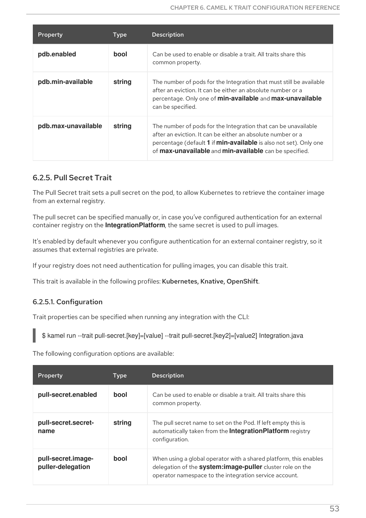| Property            | <b>Type</b> | <b>Description</b>                                                                                                                                                                                                                                                  |
|---------------------|-------------|---------------------------------------------------------------------------------------------------------------------------------------------------------------------------------------------------------------------------------------------------------------------|
| pdb.enabled         | bool        | Can be used to enable or disable a trait. All traits share this<br>common property.                                                                                                                                                                                 |
| pdb.min-available   | string      | The number of pods for the Integration that must still be available<br>after an eviction. It can be either an absolute number or a<br>percentage. Only one of <b>min-available</b> and <b>max-unavailable</b><br>can be specified.                                  |
| pdb.max-unavailable | string      | The number of pods for the Integration that can be unavailable<br>after an eviction. It can be either an absolute number or a<br>percentage (default 1 if <b>min-available</b> is also not set). Only one<br>of max-unavailable and min-available can be specified. |

## <span id="page-56-0"></span>6.2.5. Pull Secret Trait

The Pull Secret trait sets a pull secret on the pod, to allow Kubernetes to retrieve the container image from an external registry.

The pull secret can be specified manually or, in case you've configured authentication for an external container registry on the **IntegrationPlatform**, the same secret is used to pull images.

It's enabled by default whenever you configure authentication for an external container registry, so it assumes that external registries are private.

If your registry does not need authentication for pulling images, you can disable this trait.

This trait is available in the following profiles: Kubernetes, Knative, OpenShift.

## 6.2.5.1. Configuration

Trait properties can be specified when running any integration with the CLI:

\$ kamel run --trait pull-secret.[key]=[value] --trait pull-secret.[key2]=[value2] Integration.java

| <b>Property</b>                         | <b>Type</b> | <b>Description</b>                                                                                                                                                                              |
|-----------------------------------------|-------------|-------------------------------------------------------------------------------------------------------------------------------------------------------------------------------------------------|
| pull-secret.enabled                     | bool        | Can be used to enable or disable a trait. All traits share this<br>common property.                                                                                                             |
| pull-secret.secret-<br>name             | string      | The pull secret name to set on the Pod. If left empty this is<br>automatically taken from the <b>IntegrationPlatform</b> registry<br>configuration.                                             |
| pull-secret.image-<br>puller-delegation | bool        | When using a global operator with a shared platform, this enables<br>delegation of the <b>system:image-puller</b> cluster role on the<br>operator namespace to the integration service account. |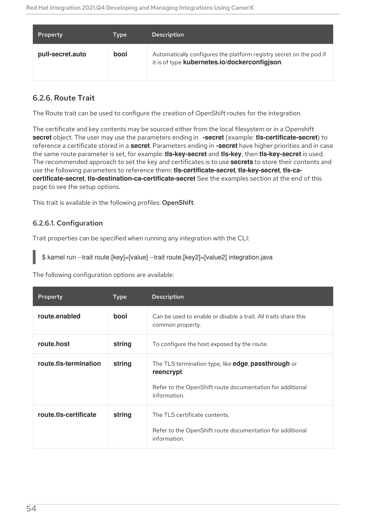| <b>Property</b>  | Type | <b>Description</b>                                                                                                           |
|------------------|------|------------------------------------------------------------------------------------------------------------------------------|
| pull-secret.auto | bool | Automatically configures the platform registry secret on the pod if<br>it is of type <b>kubernetes.io/dockerconfigjson</b> . |

## 6.2.6. Route Trait

The Route trait can be used to configure the creation of OpenShift routes for the integration.

The certificate and key contents may be sourced either from the local filesystem or in a Openshift **secret** object. The user may use the parameters ending in **-secret** (example: **tls-certificate-secret**) to reference a certificate stored in a **secret**. Parameters ending in **-secret** have higher priorities and in case the same route parameter is set, for example: **tls-key-secret** and **tls-key**, then **tls-key-secret** is used. The recommended approach to set the key and certificates is to use **secrets** to store their contents and use the following parameters to reference them: **tls-certificate-secret**, **tls-key-secret**, **tls-cacertificate-secret**, **tls-destination-ca-certificate-secret** See the examples section at the end of this page to see the setup options.

This trait is available in the following profiles: OpenShift.

## 6.2.6.1. Configuration

Trait properties can be specified when running any integration with the CLI:

\$ kamel run --trait route.[key]=[value] --trait route.[key2]=[value2] integration.java

| Property              | <b>Type</b> | <b>Description</b>                                                                                                                                    |
|-----------------------|-------------|-------------------------------------------------------------------------------------------------------------------------------------------------------|
| route.enabled         | bool        | Can be used to enable or disable a trait. All traits share this<br>common property.                                                                   |
| route.host            | string      | To configure the host exposed by the route.                                                                                                           |
| route.tls-termination | string      | The TLS termination type, like <b>edge, passthrough</b> or<br>reencrypt.<br>Refer to the OpenShift route documentation for additional<br>information. |
| route.tls-certificate | string      | The TLS certificate contents.<br>Refer to the OpenShift route documentation for additional<br>information.                                            |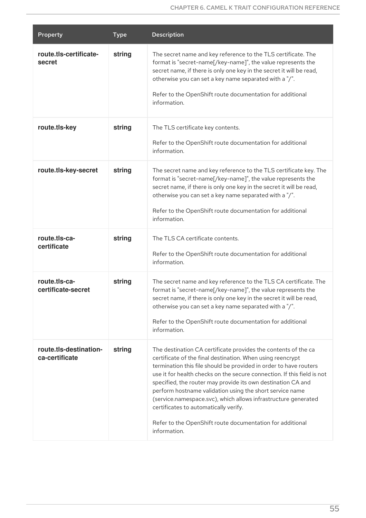| Property                                 | <b>Type</b> | <b>Description</b>                                                                                                                                                                                                                                                                                                                                                                                                                                                                                                                                                                               |
|------------------------------------------|-------------|--------------------------------------------------------------------------------------------------------------------------------------------------------------------------------------------------------------------------------------------------------------------------------------------------------------------------------------------------------------------------------------------------------------------------------------------------------------------------------------------------------------------------------------------------------------------------------------------------|
| route.tls-certificate-<br>secret         | string      | The secret name and key reference to the TLS certificate. The<br>format is "secret-name[/key-name]", the value represents the<br>secret name, if there is only one key in the secret it will be read,<br>otherwise you can set a key name separated with a "/".<br>Refer to the OpenShift route documentation for additional<br>information.                                                                                                                                                                                                                                                     |
| route.tls-key                            | string      | The TLS certificate key contents.<br>Refer to the OpenShift route documentation for additional<br>information.                                                                                                                                                                                                                                                                                                                                                                                                                                                                                   |
| route.tls-key-secret                     | string      | The secret name and key reference to the TLS certificate key. The<br>format is "secret-name[/key-name]", the value represents the<br>secret name, if there is only one key in the secret it will be read,<br>otherwise you can set a key name separated with a "/".<br>Refer to the OpenShift route documentation for additional<br>information.                                                                                                                                                                                                                                                 |
| route.tls-ca-<br>certificate             | string      | The TLS CA certificate contents.<br>Refer to the OpenShift route documentation for additional<br>information.                                                                                                                                                                                                                                                                                                                                                                                                                                                                                    |
| route.tls-ca-<br>certificate-secret      | string      | The secret name and key reference to the TLS CA certificate. The<br>format is "secret-name[/key-name]", the value represents the<br>secret name, if there is only one key in the secret it will be read,<br>otherwise you can set a key name separated with a "/".<br>Refer to the OpenShift route documentation for additional<br>information.                                                                                                                                                                                                                                                  |
| route.tls-destination-<br>ca-certificate | string      | The destination CA certificate provides the contents of the ca<br>certificate of the final destination. When using reencrypt<br>termination this file should be provided in order to have routers<br>use it for health checks on the secure connection. If this field is not<br>specified, the router may provide its own destination CA and<br>perform hostname validation using the short service name<br>(service.namespace.svc), which allows infrastructure generated<br>certificates to automatically verify.<br>Refer to the OpenShift route documentation for additional<br>information. |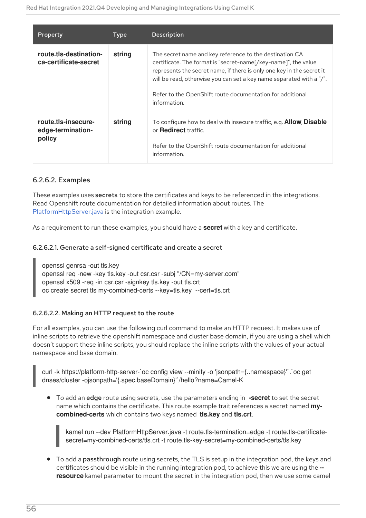<span id="page-59-0"></span>

| <b>Property</b>                                    | <b>Type</b> | <b>Description</b>                                                                                                                                                                                                                                                                                                                                      |
|----------------------------------------------------|-------------|---------------------------------------------------------------------------------------------------------------------------------------------------------------------------------------------------------------------------------------------------------------------------------------------------------------------------------------------------------|
| route.tls-destination-<br>ca-certificate-secret    | string      | The secret name and key reference to the destination CA<br>certificate. The format is "secret-name[/key-name]", the value<br>represents the secret name, if there is only one key in the secret it<br>will be read, otherwise you can set a key name separated with a "/".<br>Refer to the OpenShift route documentation for additional<br>information. |
| route.tls-insecure-<br>edge-termination-<br>policy | string      | To configure how to deal with insecure traffic, e.g. <b>Allow, Disable</b><br>or <b>Redirect</b> traffic.<br>Refer to the OpenShift route documentation for additional<br>information.                                                                                                                                                                  |

## 6.2.6.2. Examples

These examples uses secrets to store the certificates and keys to be referenced in the integrations. Read Openshift route documentation for detailed information about routes. The [PlatformHttpServer.java](https://github.com/apache/camel-k/blob/main/examples/http/PlatformHttpServer.java) is the integration example.

As a requirement to run these examples, you should have a **secret** with a key and certificate.

#### 6.2.6.2.1. Generate a self-signed certificate and create a secret

openssl genrsa -out tls.key openssl req -new -key tls.key -out csr.csr -subj "/CN=my-server.com" openssl x509 -req -in csr.csr -signkey tls.key -out tls.crt oc create secret tls my-combined-certs --key=tls.key --cert=tls.crt

#### 6.2.6.2.2. Making an HTTP request to the route

For all examples, you can use the following curl command to make an HTTP request. It makes use of inline scripts to retrieve the openshift namespace and cluster base domain, if you are using a shell which doesn't support these inline scripts, you should replace the inline scripts with the values of your actual namespace and base domain.

curl -k https://platform-http-server-`oc config view --minify -o 'jsonpath={..namespace}'`.`oc get dnses/cluster -ojsonpath='{.spec.baseDomain}'`/hello?name=Camel-K

To add an edge route using secrets, use the parameters ending in **-secret** to set the secret name which contains the certificate. This route example trait references a secret named **mycombined-certs** which contains two keys named **tls.key** and **tls.crt**.

kamel run --dev PlatformHttpServer.java -t route.tls-termination=edge -t route.tls-certificatesecret=my-combined-certs/tls.crt -t route.tls-key-secret=my-combined-certs/tls.key

• To add a **passthrough** route using secrets, the TLS is setup in the integration pod, the keys and certificates should be visible in the running integration pod, to achieve this we are using the **- resource** kamel parameter to mount the secret in the integration pod, then we use some camel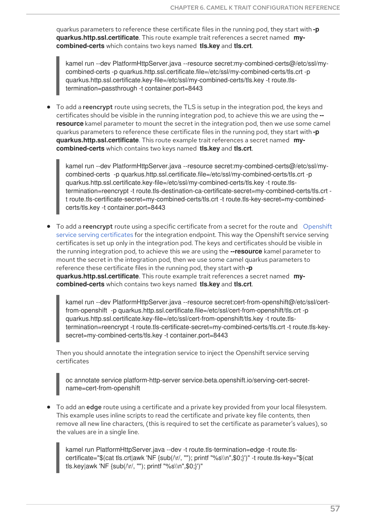quarkus parameters to reference these certificate files in the running pod, they start with **-p quarkus.http.ssl.certificate**. This route example trait references a secret named **mycombined-certs** which contains two keys named **tls.key** and **tls.crt**.

kamel run --dev PlatformHttpServer.java --resource secret:my-combined-certs@/etc/ssl/mycombined-certs -p quarkus.http.ssl.certificate.file=/etc/ssl/my-combined-certs/tls.crt -p quarkus.http.ssl.certificate.key-file=/etc/ssl/my-combined-certs/tls.key -t route.tlstermination=passthrough -t container.port=8443

• To add a reencrypt route using secrets, the TLS is setup in the integration pod, the keys and certificates should be visible in the running integration pod, to achieve this we are using the **- resource** kamel parameter to mount the secret in the integration pod, then we use some camel quarkus parameters to reference these certificate files in the running pod, they start with **-p quarkus.http.ssl.certificate**. This route example trait references a secret named **mycombined-certs** which contains two keys named **tls.key** and **tls.crt**.

kamel run --dev PlatformHttpServer.java --resource secret:my-combined-certs@/etc/ssl/mycombined-certs -p quarkus.http.ssl.certificate.file=/etc/ssl/my-combined-certs/tls.crt -p quarkus.http.ssl.certificate.key-file=/etc/ssl/my-combined-certs/tls.key -t route.tlstermination=reencrypt -t route.tls-destination-ca-certificate-secret=my-combined-certs/tls.crt t route.tls-certificate-secret=my-combined-certs/tls.crt -t route.tls-key-secret=my-combinedcerts/tls.key -t container.port=8443

To add a reencrypt route using a specific certificate from a secret for the route and Openshift service serving [certificates](https://docs.openshift.com/container-platform/4.8/security/certificates/service-serving-certificate.html#add-service-certificate_service-serving-certificate) for the integration endpoint. This way the Openshift service serving certificates is set up only in the integration pod. The keys and certificates should be visible in the running integration pod, to achieve this we are using the **--resource** kamel parameter to mount the secret in the integration pod, then we use some camel quarkus parameters to reference these certificate files in the running pod, they start with **-p quarkus.http.ssl.certificate**. This route example trait references a secret named **mycombined-certs** which contains two keys named **tls.key** and **tls.crt**.

kamel run --dev PlatformHttpServer.java --resource secret:cert-from-openshift@/etc/ssl/certfrom-openshift -p quarkus.http.ssl.certificate.file=/etc/ssl/cert-from-openshift/tls.crt -p quarkus.http.ssl.certificate.key-file=/etc/ssl/cert-from-openshift/tls.key -t route.tlstermination=reencrypt -t route.tls-certificate-secret=my-combined-certs/tls.crt -t route.tls-keysecret=my-combined-certs/tls.key -t container.port=8443

Then you should annotate the integration service to inject the Openshift service serving certificates

oc annotate service platform-http-server service.beta.openshift.io/serving-cert-secretname=cert-from-openshift

To add an **edge** route using a certificate and a private key provided from your local filesystem. This example uses inline scripts to read the certificate and private key file contents, then remove all new line characters, (this is required to set the certificate as parameter's values), so the values are in a single line.

kamel run PlatformHttpServer.java --dev -t route.tls-termination=edge -t route.tlscertificate="\$(cat tls.crt|awk 'NF {sub(/\r/, ""); printf "%s\\n",\$0;}')" -t route.tls-key="\$(cat tls.key|awk 'NF {sub(/\r/, ""); printf "%s\\n",\$0;}')"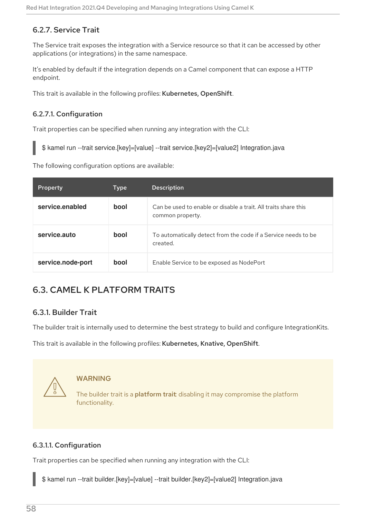## <span id="page-61-0"></span>6.2.7. Service Trait

The Service trait exposes the integration with a Service resource so that it can be accessed by other applications (or integrations) in the same namespace.

It's enabled by default if the integration depends on a Camel component that can expose a HTTP endpoint.

This trait is available in the following profiles: Kubernetes, OpenShift.

## 6.2.7.1. Configuration

Trait properties can be specified when running any integration with the CLI:

\$ kamel run --trait service.[key]=[value] --trait service.[key2]=[value2] Integration.java

The following configuration options are available:

| <b>Property</b>   | <b>Type</b> | <b>Description</b>                                                                  |
|-------------------|-------------|-------------------------------------------------------------------------------------|
| service.enabled   | bool        | Can be used to enable or disable a trait. All traits share this<br>common property. |
| service.auto      | bool        | To automatically detect from the code if a Service needs to be<br>created.          |
| service.node-port | bool        | Enable Service to be exposed as NodePort                                            |

# 6.3. CAMEL K PLATFORM TRAITS

## <span id="page-61-1"></span>6.3.1. Builder Trait

The builder trait is internally used to determine the best strategy to build and configure IntegrationKits.

This trait is available in the following profiles: Kubernetes, Knative, OpenShift.



## WARNING

The builder trait is a platform trait disabling it may compromise the platform functionality.

## 6.3.1.1. Configuration

Trait properties can be specified when running any integration with the CLI:

\$ kamel run --trait builder.[key]=[value] --trait builder.[key2]=[value2] Integration.java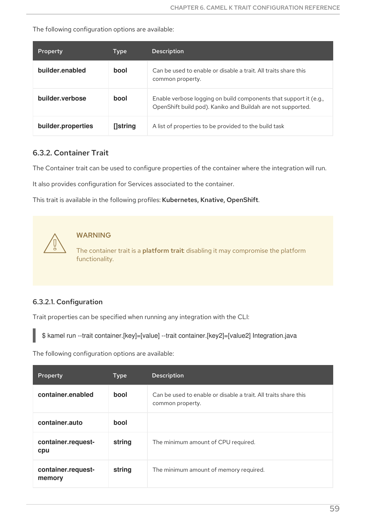The following configuration options are available:

| <b>Property</b>    | <b>Type</b> | <b>Description</b>                                                                                                               |
|--------------------|-------------|----------------------------------------------------------------------------------------------------------------------------------|
| builder.enabled    | bool        | Can be used to enable or disable a trait. All traits share this<br>common property.                                              |
| builder.verbose    | bool        | Enable verbose logging on build components that support it (e.g.,<br>OpenShift build pod). Kaniko and Buildah are not supported. |
| builder.properties | $[]$ string | A list of properties to be provided to the build task                                                                            |

## 6.3.2. Container Trait

The Container trait can be used to configure properties of the container where the integration will run.

It also provides configuration for Services associated to the container.

This trait is available in the following profiles: Kubernetes, Knative, OpenShift.



#### WARNING

The container trait is a **platform trait**: disabling it may compromise the platform functionality.

## 6.3.2.1. Configuration

Trait properties can be specified when running any integration with the CLI:

\$ kamel run --trait container.[key]=[value] --trait container.[key2]=[value2] Integration.java

| Property                     | <b>Type</b> | <b>Description</b>                                                                  |
|------------------------------|-------------|-------------------------------------------------------------------------------------|
| container.enabled            | bool        | Can be used to enable or disable a trait. All traits share this<br>common property. |
| container.auto               | bool        |                                                                                     |
| container.request-<br>cpu    | string      | The minimum amount of CPU required.                                                 |
| container.request-<br>memory | string      | The minimum amount of memory required.                                              |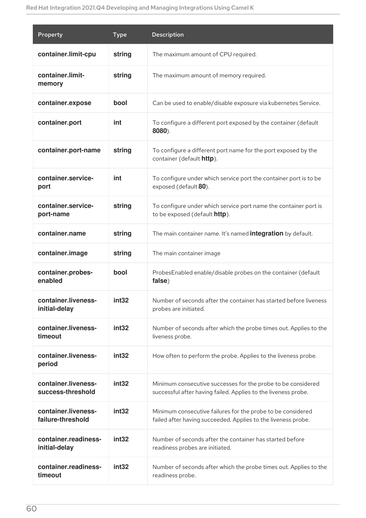<span id="page-63-0"></span>

| Property                                 | <b>Type</b>       | <b>Description</b>                                                                                                             |
|------------------------------------------|-------------------|--------------------------------------------------------------------------------------------------------------------------------|
| container.limit-cpu                      | string            | The maximum amount of CPU required.                                                                                            |
| container.limit-<br>memory               | string            | The maximum amount of memory required.                                                                                         |
| container.expose                         | bool              | Can be used to enable/disable exposure via kubernetes Service.                                                                 |
| container.port                           | int               | To configure a different port exposed by the container (default<br>8080).                                                      |
| container.port-name                      | string            | To configure a different port name for the port exposed by the<br>container (default http).                                    |
| container.service-<br>port               | int               | To configure under which service port the container port is to be<br>exposed (default 80).                                     |
| container.service-<br>port-name          | string            | To configure under which service port name the container port is<br>to be exposed (default <b>http</b> ).                      |
| container.name                           | string            | The main container name. It's named <b>integration</b> by default.                                                             |
| container.image                          | string            | The main container image                                                                                                       |
| container.probes-<br>enabled             | bool              | ProbesEnabled enable/disable probes on the container (default<br>false)                                                        |
| container.liveness-<br>initial-delay     | int <sub>32</sub> | Number of seconds after the container has started before liveness<br>probes are initiated.                                     |
| container.liveness-<br>timeout           | int <sub>32</sub> | Number of seconds after which the probe times out. Applies to the<br>liveness probe.                                           |
| container.liveness-<br>period            | int <sub>32</sub> | How often to perform the probe. Applies to the liveness probe.                                                                 |
| container.liveness-<br>success-threshold | int <sub>32</sub> | Minimum consecutive successes for the probe to be considered<br>successful after having failed. Applies to the liveness probe. |
| container.liveness-<br>failure-threshold | int <sub>32</sub> | Minimum consecutive failures for the probe to be considered<br>failed after having succeeded. Applies to the liveness probe.   |
| container.readiness-<br>initial-delay    | int <sub>32</sub> | Number of seconds after the container has started before<br>readiness probes are initiated.                                    |
| container.readiness-<br>timeout          | int <sub>32</sub> | Number of seconds after which the probe times out. Applies to the<br>readiness probe.                                          |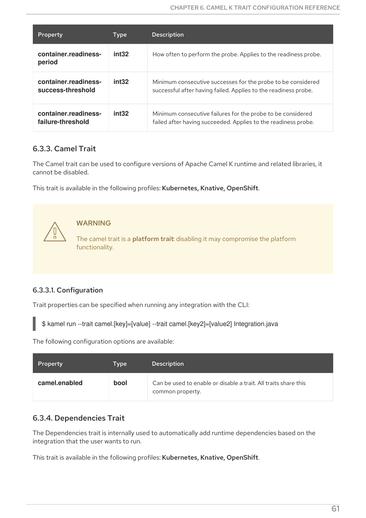| <b>Property</b>                           | <b>Type</b>       | <b>Description</b>                                                                                                              |
|-------------------------------------------|-------------------|---------------------------------------------------------------------------------------------------------------------------------|
| container.readiness-<br>period            | int <sub>32</sub> | How often to perform the probe. Applies to the readiness probe.                                                                 |
| container.readiness-<br>success-threshold | int32             | Minimum consecutive successes for the probe to be considered<br>successful after having failed. Applies to the readiness probe. |
| container.readiness-<br>failure-threshold | int32             | Minimum consecutive failures for the probe to be considered<br>failed after having succeeded. Applies to the readiness probe.   |

## <span id="page-64-0"></span>6.3.3. Camel Trait

The Camel trait can be used to configure versions of Apache Camel K runtime and related libraries, it cannot be disabled.

This trait is available in the following profiles: Kubernetes, Knative, OpenShift.



## WARNING

The camel trait is a **platform trait**: disabling it may compromise the platform functionality.

## 6.3.3.1. Configuration

Trait properties can be specified when running any integration with the CLI:

\$ kamel run --trait camel.[key]=[value] --trait camel.[key2]=[value2] Integration.java

The following configuration options are available:

| <b>Property</b> | <b>Type</b> | <b>Description</b>                                                                  |
|-----------------|-------------|-------------------------------------------------------------------------------------|
| camel.enabled   | bool        | Can be used to enable or disable a trait. All traits share this<br>common property. |

## 6.3.4. Dependencies Trait

The Dependencies trait is internally used to automatically add runtime dependencies based on the integration that the user wants to run.

This trait is available in the following profiles: Kubernetes, Knative, OpenShift.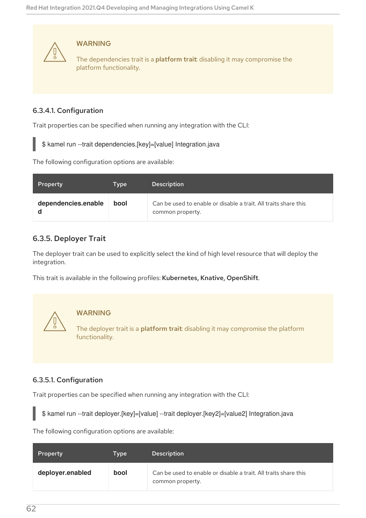<span id="page-65-0"></span>

## WARNING

The dependencies trait is a **platform trait**: disabling it may compromise the platform functionality.

#### 6.3.4.1. Configuration

Trait properties can be specified when running any integration with the CLI:

\$ kamel run --trait dependencies.[key]=[value] Integration.java

The following configuration options are available:

| Property            | Type | <b>Description</b>                                                                  |
|---------------------|------|-------------------------------------------------------------------------------------|
| dependencies.enable | bool | Can be used to enable or disable a trait. All traits share this<br>common property. |

## <span id="page-65-1"></span>6.3.5. Deployer Trait

The deployer trait can be used to explicitly select the kind of high level resource that will deploy the integration.

This trait is available in the following profiles: Kubernetes, Knative, OpenShift.



## WARNING

The deployer trait is a **platform trait:** disabling it may compromise the platform functionality.

## 6.3.5.1. Configuration

Trait properties can be specified when running any integration with the CLI:

\$ kamel run --trait deployer.[key]=[value] --trait deployer.[key2]=[value2] Integration.java

| <b>Property</b>  | Type | <b>Description</b>                                                                  |
|------------------|------|-------------------------------------------------------------------------------------|
| deployer.enabled | bool | Can be used to enable or disable a trait. All traits share this<br>common property. |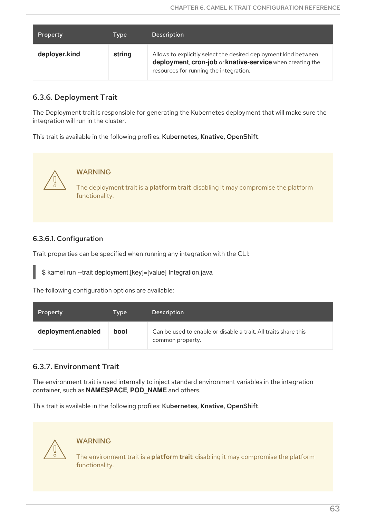| <b>Property</b> | Type   | <b>Description</b>                                                                                                                                                     |
|-----------------|--------|------------------------------------------------------------------------------------------------------------------------------------------------------------------------|
| deployer.kind   | string | Allows to explicitly select the desired deployment kind between<br>deployment, cron-job or knative-service when creating the<br>resources for running the integration. |

## <span id="page-66-0"></span>6.3.6. Deployment Trait

The Deployment trait is responsible for generating the Kubernetes deployment that will make sure the integration will run in the cluster.

This trait is available in the following profiles: Kubernetes, Knative, OpenShift.



## 6.3.6.1. Configuration

Trait properties can be specified when running any integration with the CLI:

\$ kamel run --trait deployment.[key]=[value] Integration.java

The following configuration options are available:

| <b>Property</b>    | Type | <b>Description</b>                                                                  |
|--------------------|------|-------------------------------------------------------------------------------------|
| deployment.enabled | bool | Can be used to enable or disable a trait. All traits share this<br>common property. |

## 6.3.7. Environment Trait

The environment trait is used internally to inject standard environment variables in the integration container, such as **NAMESPACE**, **POD\_NAME** and others.

This trait is available in the following profiles: Kubernetes, Knative, OpenShift.



## WARNING

The environment trait is a platform trait disabling it may compromise the platform functionality.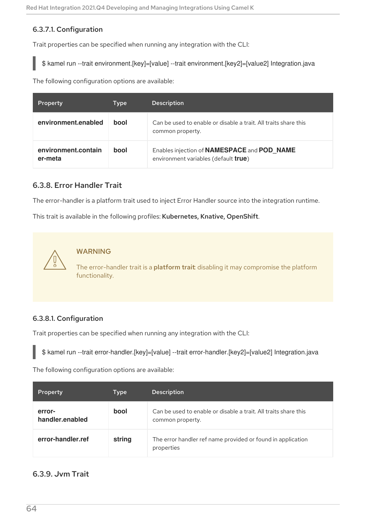## <span id="page-67-0"></span>6.3.7.1. Configuration

Trait properties can be specified when running any integration with the CLI:

\$ kamel run --trait environment.[key]=[value] --trait environment.[key2]=[value2] Integration.java

The following configuration options are available:

| <b>Property</b>                | Type | <b>Description</b>                                                                  |
|--------------------------------|------|-------------------------------------------------------------------------------------|
| environment.enabled            | bool | Can be used to enable or disable a trait. All traits share this<br>common property. |
| environment.contain<br>er-meta | bool | Enables injection of NAMESPACE and POD NAME<br>environment variables (default true) |

## <span id="page-67-1"></span>6.3.8. Error Handler Trait

The error-handler is a platform trait used to inject Error Handler source into the integration runtime.

This trait is available in the following profiles: Kubernetes, Knative, OpenShift.



## WARNING

The error-handler trait is a platform trait: disabling it may compromise the platform functionality.

## 6.3.8.1. Configuration

Trait properties can be specified when running any integration with the CLI:

\$ kamel run --trait error-handler.[key]=[value] --trait error-handler.[key2]=[value2] Integration.java

The following configuration options are available:

| <b>Property</b>           | Type   | <b>Description</b>                                                                  |
|---------------------------|--------|-------------------------------------------------------------------------------------|
| error-<br>handler.enabled | bool   | Can be used to enable or disable a trait. All traits share this<br>common property. |
| error-handler.ref         | string | The error handler ref name provided or found in application<br>properties           |

## 6.3.9. Jvm Trait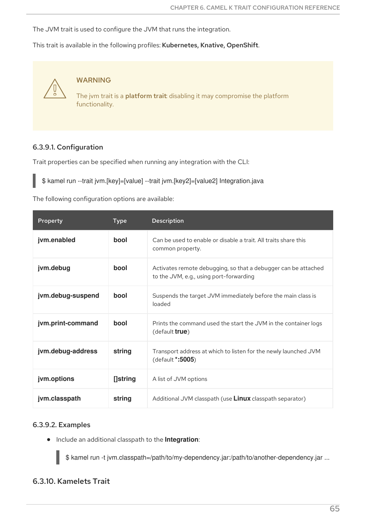<span id="page-68-0"></span>The JVM trait is used to configure the JVM that runs the integration.

This trait is available in the following profiles: Kubernetes, Knative, OpenShift.

## WARNING

The jvm trait is a platform trait disabling it may compromise the platform functionality.

## 6.3.9.1. Configuration

Trait properties can be specified when running any integration with the CLI:

\$ kamel run --trait jvm.[key]=[value] --trait jvm.[key2]=[value2] Integration.java

The following configuration options are available:

| Property          | <b>Type</b> | <b>Description</b>                                                                                        |
|-------------------|-------------|-----------------------------------------------------------------------------------------------------------|
| jvm.enabled       | bool        | Can be used to enable or disable a trait. All traits share this<br>common property.                       |
| jvm.debug         | bool        | Activates remote debugging, so that a debugger can be attached<br>to the JVM, e.g., using port-forwarding |
| jvm.debug-suspend | bool        | Suspends the target JVM immediately before the main class is<br>loaded                                    |
| jvm.print-command | bool        | Prints the command used the start the JVM in the container logs<br>(default true)                         |
| jvm.debug-address | string      | Transport address at which to listen for the newly launched JVM<br>(default *:5005)                       |
| jvm.options       | []string    | A list of JVM options                                                                                     |
| jvm.classpath     | string      | Additional JVM classpath (use <b>Linux</b> classpath separator)                                           |

#### 6.3.9.2. Examples

Include an additional classpath to the **Integration**:

\$ kamel run -t jvm.classpath=/path/to/my-dependency.jar:/path/to/another-dependency.jar ...

## 6.3.10. Kamelets Trait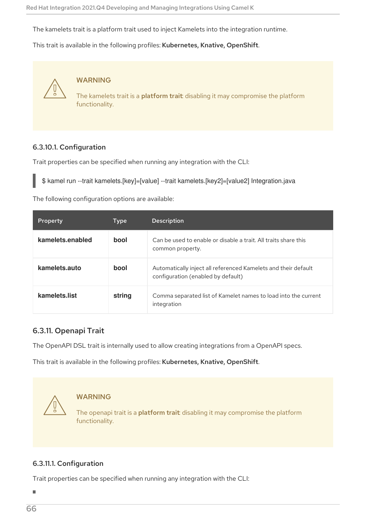<span id="page-69-0"></span>The kamelets trait is a platform trait used to inject Kamelets into the integration runtime.

This trait is available in the following profiles: Kubernetes, Knative, OpenShift.

# WARNING

The kamelets trait is a platform trait: disabling it may compromise the platform functionality.

## 6.3.10.1. Configuration

Trait properties can be specified when running any integration with the CLI:

\$ kamel run --trait kamelets.[key]=[value] --trait kamelets.[key2]=[value2] Integration.java

The following configuration options are available:

| <b>Property</b>  | <b>Type</b> | <b>Description</b>                                                                                   |
|------------------|-------------|------------------------------------------------------------------------------------------------------|
| kamelets.enabled | bool        | Can be used to enable or disable a trait. All traits share this<br>common property.                  |
| kamelets.auto    | bool        | Automatically inject all referenced Kamelets and their default<br>configuration (enabled by default) |
| kamelets.list    | string      | Comma separated list of Kamelet names to load into the current<br>integration                        |

## <span id="page-69-1"></span>6.3.11. Openapi Trait

The OpenAPI DSL trait is internally used to allow creating integrations from a OpenAPI specs.

This trait is available in the following profiles: Kubernetes, Knative, OpenShift.



## WARNING

The openapi trait is a **platform trait** disabling it may compromise the platform functionality.

## 6.3.11.1. Configuration

Trait properties can be specified when running any integration with the CLI:

Ē.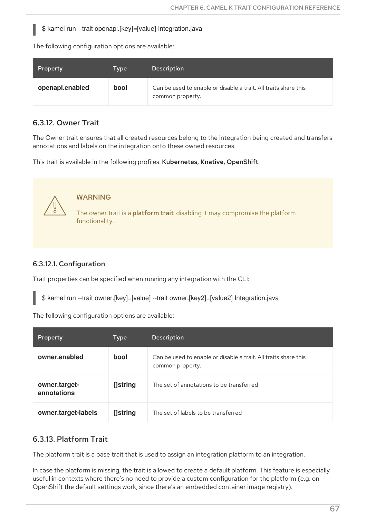#### \$ kamel run --trait openapi.[key]=[value] Integration.java

The following configuration options are available:

| <b>Property</b> | Type | <b>Description</b>                                                                  |
|-----------------|------|-------------------------------------------------------------------------------------|
| openapi.enabled | bool | Can be used to enable or disable a trait. All traits share this<br>common property. |

## <span id="page-70-0"></span>6.3.12. Owner Trait

The Owner trait ensures that all created resources belong to the integration being created and transfers annotations and labels on the integration onto these owned resources.

This trait is available in the following profiles: Kubernetes, Knative, OpenShift.



## 6.3.12.1. Configuration

Trait properties can be specified when running any integration with the CLI:

\$ kamel run --trait owner.[key]=[value] --trait owner.[key2]=[value2] Integration.java

The following configuration options are available:

| <b>Property</b>              | <b>Type</b> | <b>Description</b>                                                                  |
|------------------------------|-------------|-------------------------------------------------------------------------------------|
| owner.enabled                | bool        | Can be used to enable or disable a trait. All traits share this<br>common property. |
| owner.target-<br>annotations | []string    | The set of annotations to be transferred                                            |
| owner.target-labels          | []string    | The set of labels to be transferred                                                 |

## 6.3.13. Platform Trait

The platform trait is a base trait that is used to assign an integration platform to an integration.

In case the platform is missing, the trait is allowed to create a default platform. This feature is especially useful in contexts where there's no need to provide a custom configuration for the platform (e.g. on OpenShift the default settings work, since there's an embedded container image registry).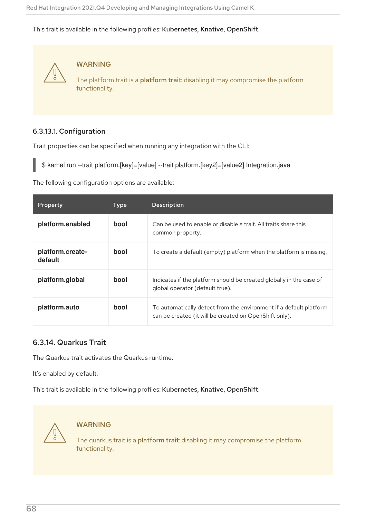#### <span id="page-71-0"></span>This trait is available in the following profiles: Kubernetes, Knative, OpenShift.



## WARNING

The platform trait is a **platform trait**: disabling it may compromise the platform functionality.

## 6.3.13.1. Configuration

Trait properties can be specified when running any integration with the CLI:

\$ kamel run --trait platform.[key]=[value] --trait platform.[key2]=[value2] Integration.java

The following configuration options are available:

| <b>Property</b>             | <b>Type</b> | <b>Description</b>                                                                                                           |
|-----------------------------|-------------|------------------------------------------------------------------------------------------------------------------------------|
| platform.enabled            | bool        | Can be used to enable or disable a trait. All traits share this<br>common property.                                          |
| platform.create-<br>default | bool        | To create a default (empty) platform when the platform is missing.                                                           |
| platform.global             | bool        | Indicates if the platform should be created globally in the case of<br>global operator (default true).                       |
| platform.auto               | bool        | To automatically detect from the environment if a default platform<br>can be created (it will be created on OpenShift only). |

## 6.3.14. Quarkus Trait

The Quarkus trait activates the Quarkus runtime.

It's enabled by default.

This trait is available in the following profiles: Kubernetes, Knative, OpenShift.



#### WARNING

The quarkus trait is a **platform trait**: disabling it may compromise the platform functionality.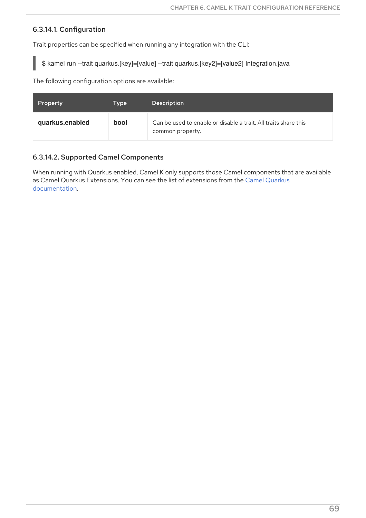### 6.3.14.1. Configuration

ı

Trait properties can be specified when running any integration with the CLI:

\$ kamel run --trait quarkus.[key]=[value] --trait quarkus.[key2]=[value2] Integration.java

The following configuration options are available:

| <b>Property</b> | Type | <b>Description</b>                                                                  |
|-----------------|------|-------------------------------------------------------------------------------------|
| quarkus.enabled | bool | Can be used to enable or disable a trait. All traits share this<br>common property. |

### 6.3.14.2. Supported Camel Components

When running with Quarkus enabled, Camel K only supports those Camel components that are available as Camel Quarkus Extensions. You can see the list of extensions from the Camel Quarkus [documentation.](https://camel.apache.org/camel-quarkus/latest/reference/index.html)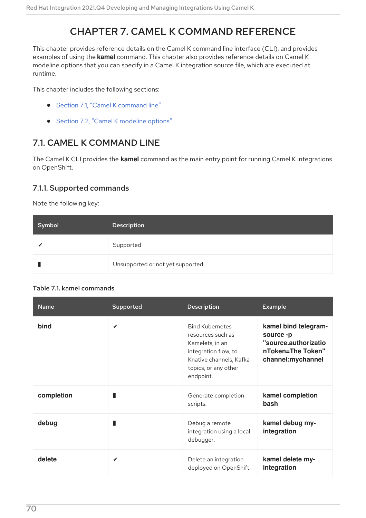# CHAPTER 7. CAMEL K COMMAND REFERENCE

This chapter provides reference details on the Camel K command line interface (CLI), and provides examples of using the **kamel** command. This chapter also provides reference details on Camel K modeline options that you can specify in a Camel K integration source file, which are executed at runtime.

This chapter includes the following sections:

- Section 7.1, "Camel K [command](#page-74-0) line"
- Section 7.2, "Camel K [modeline](#page-76-0) options"

## 7.1. CAMEL K COMMAND LINE

The Camel K CLI provides the **kamel** command as the main entry point for running Camel K integrations on OpenShift.

## 7.1.1. Supported commands

Note the following key:

| Symbol | <b>Description</b>               |
|--------|----------------------------------|
|        | Supported                        |
|        | Unsupported or not yet supported |

#### Table 7.1. kamel commands

| <b>Name</b> | Supported | <b>Description</b>                                                                                                                                     | <b>Example</b>                                                                                      |
|-------------|-----------|--------------------------------------------------------------------------------------------------------------------------------------------------------|-----------------------------------------------------------------------------------------------------|
| bind        | ✔         | <b>Bind Kubernetes</b><br>resources such as<br>Kamelets, in an<br>integration flow, to<br>Knative channels, Kafka<br>topics, or any other<br>endpoint. | kamel bind telegram-<br>source -p<br>"source.authorizatio<br>nToken=The Token"<br>channel:mychannel |
| completion  |           | Generate completion<br>scripts.                                                                                                                        | kamel completion<br>bash                                                                            |
| debug       |           | Debug a remote<br>integration using a local<br>debugger.                                                                                               | kamel debug my-<br>integration                                                                      |
| delete      | ✔         | Delete an integration<br>deployed on OpenShift.                                                                                                        | kamel delete my-<br>integration                                                                     |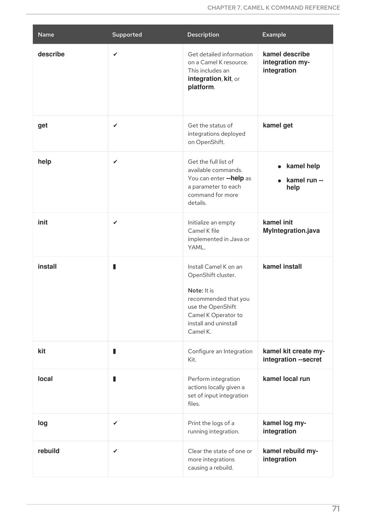<span id="page-74-0"></span>

| <b>Name</b> | Supported    | Description                                                                                                                                                         | <b>Example</b>                                   |
|-------------|--------------|---------------------------------------------------------------------------------------------------------------------------------------------------------------------|--------------------------------------------------|
| describe    | ✔            | Get detailed information<br>on a Camel K resource.<br>This includes an<br>integration, kit, or<br>platform.                                                         | kamel describe<br>integration my-<br>integration |
| get         | ✔            | Get the status of<br>integrations deployed<br>on OpenShift.                                                                                                         | kamel get                                        |
| help        | ✔            | Get the full list of<br>available commands.<br>You can enter --help as<br>a parameter to each<br>command for more<br>details.                                       | kamel help<br>kamel run --<br>help               |
| init        | ✔            | Initialize an empty<br>Camel K file<br>implemented in Java or<br>YAML.                                                                                              | kamel init<br>MyIntegration.java                 |
| install     | ш            | Install Camel K on an<br>OpenShift cluster.<br>Note: It is<br>recommended that you<br>use the OpenShift<br>Camel K Operator to<br>install and uninstall<br>Camel K. | kamel install                                    |
| kit         | ш            | Configure an Integration<br>Kit.                                                                                                                                    | kamel kit create my-<br>integration --secret     |
| local       | ш            | Perform integration<br>actions locally given a<br>set of input integration<br>files.                                                                                | kamel local run                                  |
| log         | ✔            | Print the logs of a<br>running integration.                                                                                                                         | kamel log my-<br>integration                     |
| rebuild     | $\checkmark$ | Clear the state of one or<br>more integrations<br>causing a rebuild.                                                                                                | kamel rebuild my-<br>integration                 |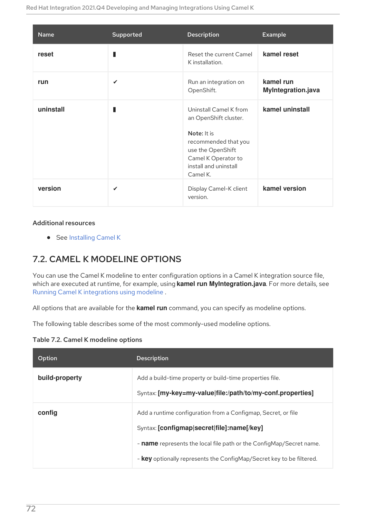| <b>Name</b> | Supported    | <b>Description</b>                                                                                                                                                      | <b>Example</b>                         |
|-------------|--------------|-------------------------------------------------------------------------------------------------------------------------------------------------------------------------|----------------------------------------|
| reset       | ı            | Reset the current Camel<br>K installation.                                                                                                                              | kamel reset                            |
| run         | $\checkmark$ | Run an integration on<br>OpenShift.                                                                                                                                     | kamel run<br><b>MyIntegration.java</b> |
| uninstall   | Π            | Uninstall Camel K from<br>an OpenShift cluster.<br>Note: It is<br>recommended that you<br>use the OpenShift<br>Camel K Operator to<br>install and uninstall<br>Camel K. | kamel uninstall                        |
| version     | ✔            | Display Camel-K client<br>version.                                                                                                                                      | kamel version                          |

#### Additional resources

• See [Installing](https://access.redhat.com/documentation/en-us/red_hat_integration/2021.Q4/html-single/getting_started_with_camel_k#installing-camel-k) Camel K

## 7.2. CAMEL K MODELINE OPTIONS

You can use the Camel K modeline to enter configuration options in a Camel K integration source file, which are executed at runtime, for example, using **kamel run MyIntegration.java**. For more details, see Running Camel K [integrations](https://access.redhat.com/documentation/en-us/red_hat_integration/2021.Q4/html-single/getting_started_with_camel_k#running-camel-k-integrations-modeline) using modeline .

All options that are available for the **kamel run** command, you can specify as modeline options.

The following table describes some of the most commonly-used modeline options.

Table 7.2. Camel K modeline options

| Option         | <b>Description</b>                                                                                                                                                                                                                                                |
|----------------|-------------------------------------------------------------------------------------------------------------------------------------------------------------------------------------------------------------------------------------------------------------------|
| build-property | Add a build-time property or build-time properties file.<br>Syntax: [my-key=my-value file:/path/to/my-conf.properties]                                                                                                                                            |
| config         | Add a runtime configuration from a Configmap, Secret, or file<br>Syntax: [configmap secret file]:name[/key]<br><b>- name</b> represents the local file path or the ConfigMap/Secret name.<br>- key optionally represents the ConfigMap/Secret key to be filtered. |